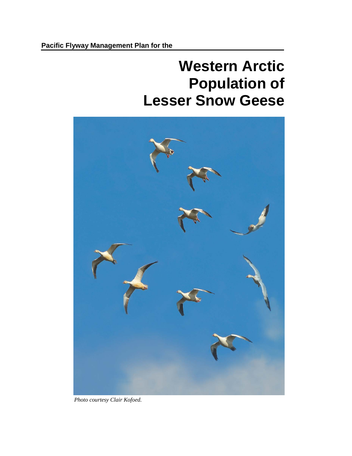# **Western Arctic Population of Lesser Snow Geese**



*Photo courtesy Clair Kofoed.*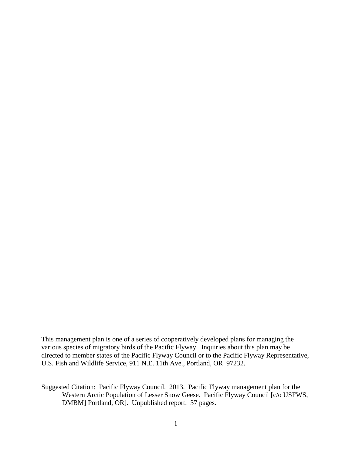This management plan is one of a series of cooperatively developed plans for managing the various species of migratory birds of the Pacific Flyway. Inquiries about this plan may be directed to member states of the Pacific Flyway Council or to the Pacific Flyway Representative, U.S. Fish and Wildlife Service, 911 N.E. 11th Ave., Portland, OR 97232.

Suggested Citation: Pacific Flyway Council. 2013. Pacific Flyway management plan for the Western Arctic Population of Lesser Snow Geese. Pacific Flyway Council [c/o USFWS, DMBM] Portland, OR]. Unpublished report. 37 pages.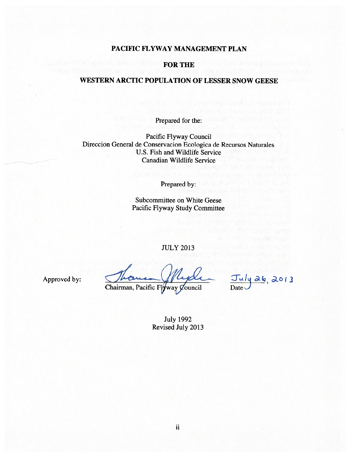# PACIFIC FLYWAY MANAGEMENT PLAN

#### **FOR THE**

# WESTERN ARCTIC POPULATION OF LESSER SNOW GEESE

Prepared for the:

Pacific Flyway Council Direccion General de Conservacion Ecologica de Recursos Naturales U.S. Fish and Wildlife Service **Canadian Wildlife Service** 

Prepared by:

Subcommittee on White Geese Pacific Flyway Study Committee

**JULY 2013** 

Approved by:

Chairman, Pacific Flyway Council

26,2013

**July 1992** Revised July 2013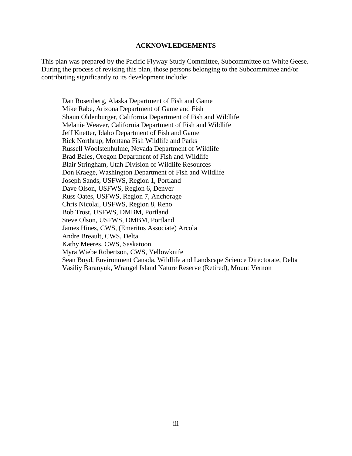#### **ACKNOWLEDGEMENTS**

<span id="page-3-0"></span>This plan was prepared by the Pacific Flyway Study Committee, Subcommittee on White Geese. During the process of revising this plan, those persons belonging to the Subcommittee and/or contributing significantly to its development include:

Dan Rosenberg, Alaska Department of Fish and Game Mike Rabe, Arizona Department of Game and Fish Shaun Oldenburger, California Department of Fish and Wildlife Melanie Weaver, California Department of Fish and Wildlife Jeff Knetter, Idaho Department of Fish and Game Rick Northrup, Montana Fish Wildlife and Parks Russell Woolstenhulme, Nevada Department of Wildlife Brad Bales, Oregon Department of Fish and Wildlife Blair Stringham, Utah Division of Wildlife Resources Don Kraege, Washington Department of Fish and Wildlife Joseph Sands, USFWS, Region 1, Portland Dave Olson, USFWS, Region 6, Denver Russ Oates, USFWS, Region 7, Anchorage Chris Nicolai, USFWS, Region 8, Reno Bob Trost, USFWS, DMBM, Portland Steve Olson, USFWS, DMBM, Portland James Hines, CWS, (Emeritus Associate) Arcola Andre Breault, CWS, Delta Kathy Meeres, CWS, Saskatoon Myra Wiebe Robertson, CWS, Yellowknife Sean Boyd, Environment Canada, Wildlife and Landscape Science Directorate, Delta Vasiliy Baranyuk, Wrangel Island Nature Reserve (Retired), Mount Vernon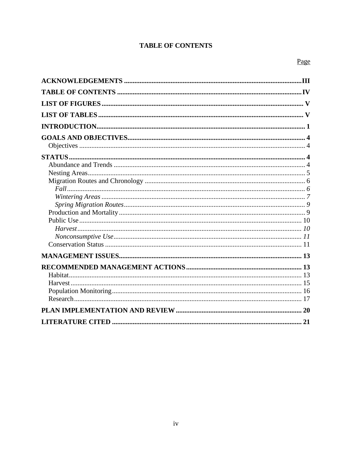# **TABLE OF CONTENTS**

<span id="page-4-0"></span>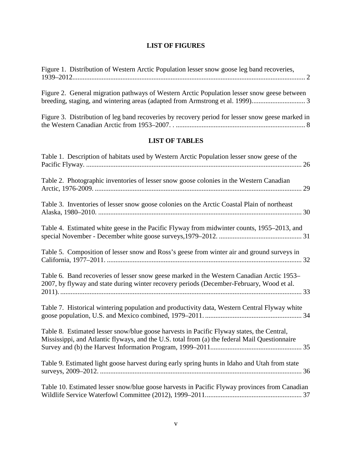# **LIST OF FIGURES**

<span id="page-5-0"></span>[Figure 1. Distribution of Western Arctic Population lesser snow goose leg band recoveries,](#page-7-0)  [1939–2012.......................................................................................................................................](#page-7-0) 2

<span id="page-5-1"></span>

| Figure 2. General migration pathways of Western Arctic Population lesser snow geese between                                                                                                      |
|--------------------------------------------------------------------------------------------------------------------------------------------------------------------------------------------------|
| Figure 3. Distribution of leg band recoveries by recovery period for lesser snow geese marked in                                                                                                 |
| <b>LIST OF TABLES</b>                                                                                                                                                                            |
| Table 1. Description of habitats used by Western Arctic Population lesser snow geese of the                                                                                                      |
| Table 2. Photographic inventories of lesser snow goose colonies in the Western Canadian                                                                                                          |
| Table 3. Inventories of lesser snow goose colonies on the Arctic Coastal Plain of northeast                                                                                                      |
| Table 4. Estimated white geese in the Pacific Flyway from midwinter counts, 1955–2013, and                                                                                                       |
| Table 5. Composition of lesser snow and Ross's geese from winter air and ground surveys in                                                                                                       |
| Table 6. Band recoveries of lesser snow geese marked in the Western Canadian Arctic 1953–<br>2007, by flyway and state during winter recovery periods (December-February, Wood et al.            |
| Table 7. Historical wintering population and productivity data, Western Central Flyway white                                                                                                     |
| Table 8. Estimated lesser snow/blue goose harvests in Pacific Flyway states, the Central,<br>Mississippi, and Atlantic flyways, and the U.S. total from (a) the federal Mail Questionnaire<br>35 |
| Table 9. Estimated light goose harvest during early spring hunts in Idaho and Utah from state                                                                                                    |
| Table 10. Estimated lesser snow/blue goose harvests in Pacific Flyway provinces from Canadian                                                                                                    |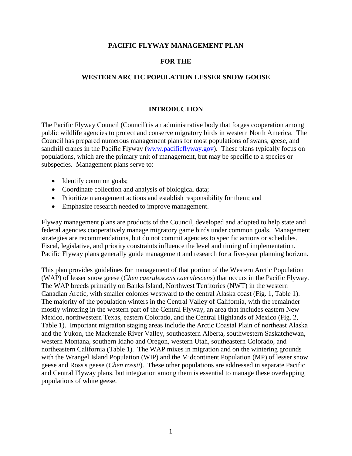## **PACIFIC FLYWAY MANAGEMENT PLAN**

## **FOR THE**

# <span id="page-6-0"></span>**WESTERN ARCTIC POPULATION LESSER SNOW GOOSE**

## **INTRODUCTION**

The Pacific Flyway Council (Council) is an administrative body that forges cooperation among public wildlife agencies to protect and conserve migratory birds in western North America. The Council has prepared numerous management plans for most populations of swans, geese, and sandhill cranes in the Pacific Flyway [\(www.pacificflyway.gov\)](http://www.pacificflyway.gov/). These plans typically focus on populations, which are the primary unit of management, but may be specific to a species or subspecies. Management plans serve to:

- Identify common goals;
- Coordinate collection and analysis of biological data;
- Prioritize management actions and establish responsibility for them; and
- Emphasize research needed to improve management.

Flyway management plans are products of the Council, developed and adopted to help state and federal agencies cooperatively manage migratory game birds under common goals. Management strategies are recommendations, but do not commit agencies to specific actions or schedules. Fiscal, legislative, and priority constraints influence the level and timing of implementation. Pacific Flyway plans generally guide management and research for a five-year planning horizon.

This plan provides guidelines for management of that portion of the Western Arctic Population (WAP) of lesser snow geese (*Chen caerulescens caerulescens*) that occurs in the Pacific Flyway. The WAP breeds primarily on Banks Island, Northwest Territories (NWT) in the western Canadian Arctic, with smaller colonies westward to the central Alaska coast (Fig. 1, Table 1). The majority of the population winters in the Central Valley of California, with the remainder mostly wintering in the western part of the Central Flyway, an area that includes eastern New Mexico, northwestern Texas, eastern Colorado, and the Central Highlands of Mexico (Fig. 2, Table 1). Important migration staging areas include the Arctic Coastal Plain of northeast Alaska and the Yukon, the Mackenzie River Valley, southeastern Alberta, southwestern Saskatchewan, western Montana, southern Idaho and Oregon, western Utah, southeastern Colorado, and northeastern California (Table 1). The WAP mixes in migration and on the wintering grounds with the Wrangel Island Population (WIP) and the Midcontinent Population (MP) of lesser snow geese and Ross's geese (*Chen rossii*). These other populations are addressed in separate Pacific and Central Flyway plans, but integration among them is essential to manage these overlapping populations of white geese.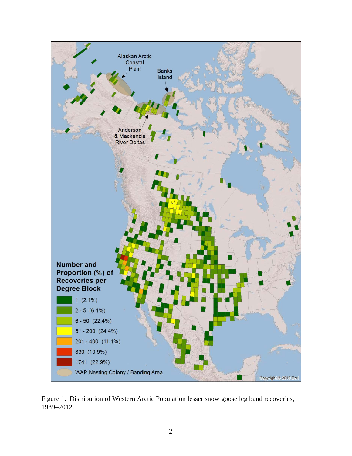

<span id="page-7-0"></span>Figure 1. Distribution of Western Arctic Population lesser snow goose leg band recoveries, 1939–2012.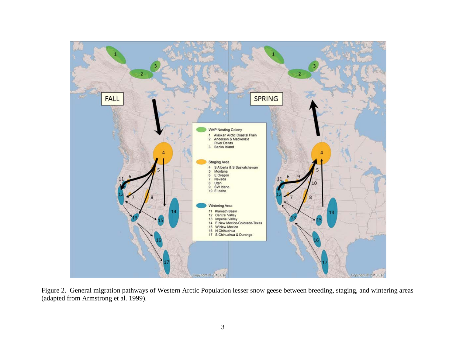

<span id="page-8-0"></span>Figure 2. General migration pathways of Western Arctic Population lesser snow geese between breeding, staging, and wintering areas (adapted from Armstrong et al. 1999).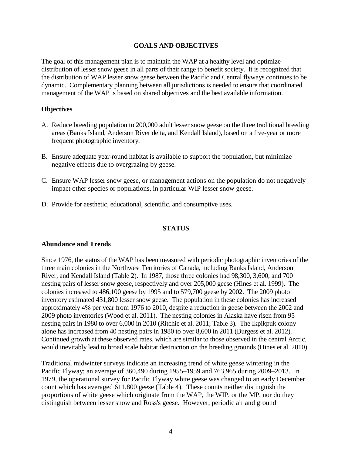#### **GOALS AND OBJECTIVES**

<span id="page-9-0"></span>The goal of this management plan is to maintain the WAP at a healthy level and optimize distribution of lesser snow geese in all parts of their range to benefit society. It is recognized that the distribution of WAP lesser snow geese between the Pacific and Central flyways continues to be dynamic. Complementary planning between all jurisdictions is needed to ensure that coordinated management of the WAP is based on shared objectives and the best available information.

#### <span id="page-9-1"></span>**Objectives**

- A. Reduce breeding population to 200,000 adult lesser snow geese on the three traditional breeding areas (Banks Island, Anderson River delta, and Kendall Island), based on a five-year or more frequent photographic inventory.
- B. Ensure adequate year-round habitat is available to support the population, but minimize negative effects due to overgrazing by geese.
- C. Ensure WAP lesser snow geese, or management actions on the population do not negatively impact other species or populations, in particular WIP lesser snow geese.
- D. Provide for aesthetic, educational, scientific, and consumptive uses.

#### **STATUS**

#### <span id="page-9-3"></span><span id="page-9-2"></span>**Abundance and Trends**

Since 1976, the status of the WAP has been measured with periodic photographic inventories of the three main colonies in the Northwest Territories of Canada, including Banks Island, Anderson River, and Kendall Island (Table 2). In 1987, those three colonies had 98,300, 3,600, and 700 nesting pairs of lesser snow geese, respectively and over 205,000 geese (Hines et al. 1999). The colonies increased to 486,100 geese by 1995 and to 579,700 geese by 2002. The 2009 photo inventory estimated 431,800 lesser snow geese. The population in these colonies has increased approximately 4% per year from 1976 to 2010, despite a reduction in geese between the 2002 and 2009 photo inventories (Wood et al. 2011). The nesting colonies in Alaska have risen from 95 nesting pairs in 1980 to over 6,000 in 2010 (Ritchie et al. 2011; Table 3). The Ikpikpuk colony alone has increased from 40 nesting pairs in 1980 to over 8,600 in 2011 (Burgess et al. 2012). Continued growth at these observed rates, which are similar to those observed in the central Arctic, would inevitably lead to broad scale habitat destruction on the breeding grounds (Hines et al. 2010).

Traditional midwinter surveys indicate an increasing trend of white geese wintering in the Pacific Flyway; an average of 360,490 during 1955–1959 and 763,965 during 2009–2013. In 1979, the operational survey for Pacific Flyway white geese was changed to an early December count which has averaged 611,800 geese (Table 4). These counts neither distinguish the proportions of white geese which originate from the WAP, the WIP, or the MP, nor do they distinguish between lesser snow and Ross's geese. However, periodic air and ground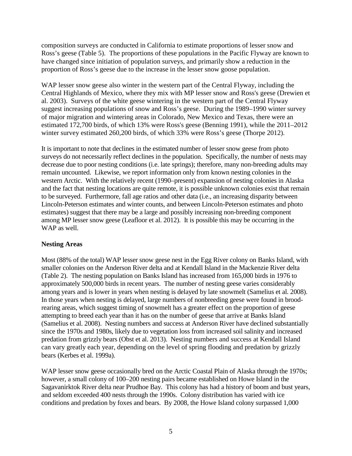composition surveys are conducted in California to estimate proportions of lesser snow and Ross's geese (Table 5). The proportions of these populations in the Pacific Flyway are known to have changed since initiation of population surveys, and primarily show a reduction in the proportion of Ross's geese due to the increase in the lesser snow goose population.

WAP lesser snow geese also winter in the western part of the Central Flyway, including the Central Highlands of Mexico, where they mix with MP lesser snow and Ross's geese (Drewien et al. 2003). Surveys of the white geese wintering in the western part of the Central Flyway suggest increasing populations of snow and Ross's geese. During the 1989–1990 winter survey of major migration and wintering areas in Colorado, New Mexico and Texas, there were an estimated 172,700 birds, of which 13% were Ross's geese (Benning 1991), while the 2011–2012 winter survey estimated 260,200 birds, of which 33% were Ross's geese (Thorpe 2012).

It is important to note that declines in the estimated number of lesser snow geese from photo surveys do not necessarily reflect declines in the population. Specifically, the number of nests may decrease due to poor nesting conditions (i.e. late springs); therefore, many non-breeding adults may remain uncounted. Likewise, we report information only from known nesting colonies in the western Arctic. With the relatively recent (1990–present) expansion of nesting colonies in Alaska and the fact that nesting locations are quite remote, it is possible unknown colonies exist that remain to be surveyed. Furthermore, fall age ratios and other data (i.e., an increasing disparity between Lincoln-Peterson estimates and winter counts, and between Lincoln-Peterson estimates and photo estimates) suggest that there may be a large and possibly increasing non-breeding component among MP lesser snow geese (Leafloor et al. 2012). It is possible this may be occurring in the WAP as well.

# <span id="page-10-0"></span>**Nesting Areas**

Most (88% of the total) WAP lesser snow geese nest in the Egg River colony on Banks Island, with smaller colonies on the Anderson River delta and at Kendall Island in the Mackenzie River delta (Table 2). The nesting population on Banks Island has increased from 165,000 birds in 1976 to approximately 500,000 birds in recent years. The number of nesting geese varies considerably among years and is lower in years when nesting is delayed by late snowmelt (Samelius et al. 2008). In those years when nesting is delayed, large numbers of nonbreeding geese were found in broodrearing areas, which suggest timing of snowmelt has a greater effect on the proportion of geese attempting to breed each year than it has on the number of geese that arrive at Banks Island (Samelius et al. 2008). Nesting numbers and success at Anderson River have declined substantially since the 1970s and 1980s, likely due to vegetation loss from increased soil salinity and increased predation from grizzly bears (Obst et al. 2013). Nesting numbers and success at Kendall Island can vary greatly each year, depending on the level of spring flooding and predation by grizzly bears (Kerbes et al. 1999a).

WAP lesser snow geese occasionally bred on the Arctic Coastal Plain of Alaska through the 1970s; however, a small colony of 100–200 nesting pairs became established on Howe Island in the Sagavanirktok River delta near Prudhoe Bay. This colony has had a history of boom and bust years, and seldom exceeded 400 nests through the 1990s. Colony distribution has varied with ice conditions and predation by foxes and bears. By 2008, the Howe Island colony surpassed 1,000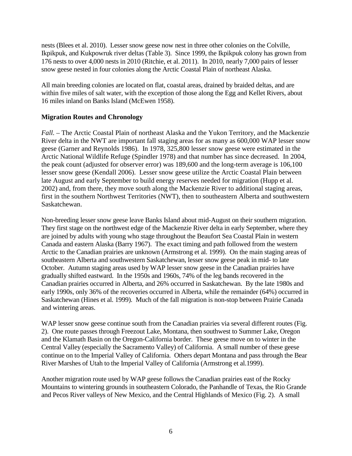nests (Blees et al. 2010). Lesser snow geese now nest in three other colonies on the Colville, Ikpikpuk, and Kukpowruk river deltas (Table 3). Since 1999, the Ikpikpuk colony has grown from 176 nests to over 4,000 nests in 2010 (Ritchie, et al. 2011). In 2010, nearly 7,000 pairs of lesser snow geese nested in four colonies along the Arctic Coastal Plain of northeast Alaska.

All main breeding colonies are located on flat, coastal areas, drained by braided deltas, and are within five miles of salt water, with the exception of those along the Egg and Kellet Rivers, about 16 miles inland on Banks Island (McEwen 1958).

# <span id="page-11-0"></span>**Migration Routes and Chronology**

<span id="page-11-1"></span>*Fall.* – The Arctic Coastal Plain of northeast Alaska and the Yukon Territory, and the Mackenzie River delta in the NWT are important fall staging areas for as many as 600,000 WAP lesser snow geese (Garner and Reynolds 1986). In 1978, 325,800 lesser snow geese were estimated in the Arctic National Wildlife Refuge (Spindler 1978) and that number has since decreased. In 2004, the peak count (adjusted for observer error) was 189,600 and the long-term average is 106,100 lesser snow geese (Kendall 2006). Lesser snow geese utilize the Arctic Coastal Plain between late August and early September to build energy reserves needed for migration (Hupp et al. 2002) and, from there, they move south along the Mackenzie River to additional staging areas, first in the southern Northwest Territories (NWT), then to southeastern Alberta and southwestern Saskatchewan.

Non-breeding lesser snow geese leave Banks Island about mid-August on their southern migration. They first stage on the northwest edge of the Mackenzie River delta in early September, where they are joined by adults with young who stage throughout the Beaufort Sea Coastal Plain in western Canada and eastern Alaska (Barry 1967). The exact timing and path followed from the western Arctic to the Canadian prairies are unknown (Armstrong et al. 1999). On the main staging areas of southeastern Alberta and southwestern Saskatchewan, lesser snow geese peak in mid- to late October. Autumn staging areas used by WAP lesser snow geese in the Canadian prairies have gradually shifted eastward. In the 1950s and 1960s, 74% of the leg bands recovered in the Canadian prairies occurred in Alberta, and 26% occurred in Saskatchewan. By the late 1980s and early 1990s, only 36% of the recoveries occurred in Alberta, while the remainder (64%) occurred in Saskatchewan (Hines et al. 1999). Much of the fall migration is non-stop between Prairie Canada and wintering areas.

WAP lesser snow geese continue south from the Canadian prairies via several different routes (Fig. 2). One route passes through Freezout Lake, Montana, then southwest to Summer Lake, Oregon and the Klamath Basin on the Oregon-California border. These geese move on to winter in the Central Valley (especially the Sacramento Valley) of California. A small number of these geese continue on to the Imperial Valley of California. Others depart Montana and pass through the Bear River Marshes of Utah to the Imperial Valley of California (Armstrong et al.1999).

Another migration route used by WAP geese follows the Canadian prairies east of the Rocky Mountains to wintering grounds in southeastern Colorado, the Panhandle of Texas, the Rio Grande and Pecos River valleys of New Mexico, and the Central Highlands of Mexico (Fig. 2). A small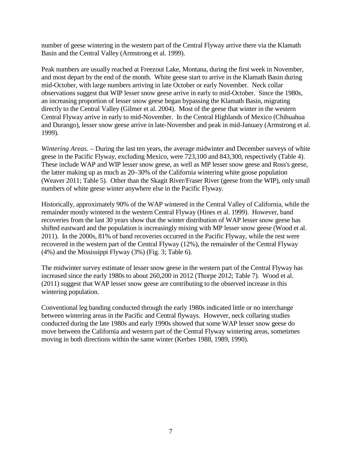number of geese wintering in the western part of the Central Flyway arrive there via the Klamath Basin and the Central Valley (Armstrong et al. 1999).

Peak numbers are usually reached at Freezout Lake, Montana, during the first week in November, and most depart by the end of the month. White geese start to arrive in the Klamath Basin during mid-October, with large numbers arriving in late October or early November. Neck collar observations suggest that WIP lesser snow geese arrive in early to mid-October. Since the 1980s, an increasing proportion of lesser snow geese began bypassing the Klamath Basin, migrating directly to the Central Valley (Gilmer et al. 2004). Most of the geese that winter in the western Central Flyway arrive in early to mid-November. In the Central Highlands of Mexico (Chihuahua and Durango), lesser snow geese arrive in late-November and peak in mid-January (Armstrong et al. 1999).

<span id="page-12-0"></span>*Wintering Areas*. – During the last ten years, the average midwinter and December surveys of white geese in the Pacific Flyway, excluding Mexico, were 723,100 and 843,300, respectively (Table 4). These include WAP and WIP lesser snow geese, as well as MP lesser snow geese and Ross's geese, the latter making up as much as 20–30% of the California wintering white goose population (Weaver 2011; Table 5). Other than the Skagit River/Fraser River (geese from the WIP), only small numbers of white geese winter anywhere else in the Pacific Flyway.

Historically, approximately 90% of the WAP wintered in the Central Valley of California, while the remainder mostly wintered in the western Central Flyway (Hines et al. 1999). However, band recoveries from the last 30 years show that the winter distribution of WAP lesser snow geese has shifted eastward and the population is increasingly mixing with MP lesser snow geese (Wood et al. 2011). In the 2000s, 81% of band recoveries occurred in the Pacific Flyway, while the rest were recovered in the western part of the Central Flyway (12%), the remainder of the Central Flyway (4%) and the Mississippi Flyway (3%) (Fig. 3; Table 6).

The midwinter survey estimate of lesser snow geese in the western part of the Central Flyway has increased since the early 1980s to about 260,200 in 2012 (Thorpe 2012; Table 7). Wood et al. (2011) suggest that WAP lesser snow geese are contributing to the observed increase in this wintering population.

Conventional leg banding conducted through the early 1980s indicated little or no interchange between wintering areas in the Pacific and Central flyways. However, neck collaring studies conducted during the late 1980s and early 1990s showed that some WAP lesser snow geese do move between the California and western part of the Central Flyway wintering areas, sometimes moving in both directions within the same winter (Kerbes 1988, 1989, 1990).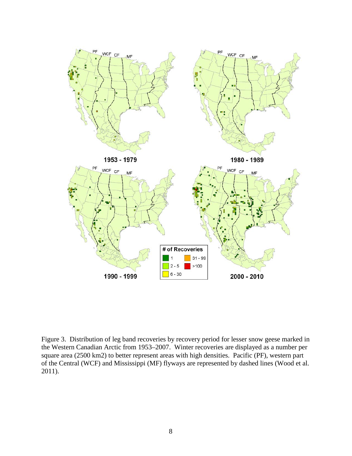

<span id="page-13-0"></span>Figure 3. Distribution of leg band recoveries by recovery period for lesser snow geese marked in the Western Canadian Arctic from 1953–2007. Winter recoveries are displayed as a number per square area (2500 km2) to better represent areas with high densities. Pacific (PF), western part of the Central (WCF) and Mississippi (MF) flyways are represented by dashed lines (Wood et al. 2011).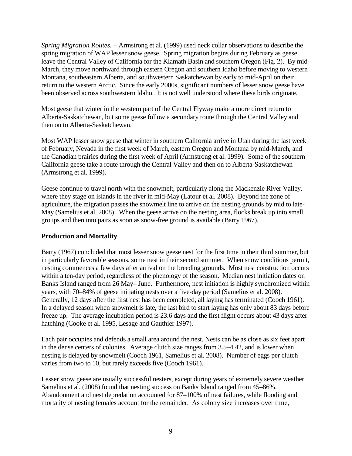<span id="page-14-0"></span>*Spring Migration Routes.* – Armstrong et al. (1999) used neck collar observations to describe the spring migration of WAP lesser snow geese. Spring migration begins during February as geese leave the Central Valley of California for the Klamath Basin and southern Oregon (Fig. 2). By mid-March, they move northward through eastern Oregon and southern Idaho before moving to western Montana, southeastern Alberta, and southwestern Saskatchewan by early to mid-April on their return to the western Arctic. Since the early 2000s, significant numbers of lesser snow geese have been observed across southwestern Idaho. It is not well understood where these birds originate.

Most geese that winter in the western part of the Central Flyway make a more direct return to Alberta-Saskatchewan, but some geese follow a secondary route through the Central Valley and then on to Alberta-Saskatchewan.

Most WAP lesser snow geese that winter in southern California arrive in Utah during the last week of February, Nevada in the first week of March, eastern Oregon and Montana by mid-March, and the Canadian prairies during the first week of April (Armstrong et al. 1999). Some of the southern California geese take a route through the Central Valley and then on to Alberta-Saskatchewan (Armstrong et al. 1999).

Geese continue to travel north with the snowmelt, particularly along the Mackenzie River Valley, where they stage on islands in the river in mid-May (Latour et al. 2008). Beyond the zone of agriculture, the migration passes the snowmelt line to arrive on the nesting grounds by mid to late-May (Samelius et al. 2008). When the geese arrive on the nesting area, flocks break up into small groups and then into pairs as soon as snow-free ground is available (Barry 1967).

# <span id="page-14-1"></span>**Production and Mortality**

Barry (1967) concluded that most lesser snow geese nest for the first time in their third summer, but in particularly favorable seasons, some nest in their second summer. When snow conditions permit, nesting commences a few days after arrival on the breeding grounds. Most nest construction occurs within a ten-day period, regardless of the phenology of the season. Median nest initiation dates on Banks Island ranged from 26 May– June. Furthermore, nest initiation is highly synchronized within years, with 70–84% of geese initiating nests over a five-day period (Samelius et al. 2008). Generally, 12 days after the first nest has been completed, all laying has terminated (Cooch 1961). In a delayed season when snowmelt is late, the last bird to start laying has only about 83 days before freeze up. The average incubation period is 23.6 days and the first flight occurs about 43 days after hatching (Cooke et al. 1995, Lesage and Gauthier 1997).

Each pair occupies and defends a small area around the nest. Nests can be as close as six feet apart in the dense centers of colonies. Average clutch size ranges from 3.5–4.42, and is lower when nesting is delayed by snowmelt (Cooch 1961, Samelius et al. 2008). Number of eggs per clutch varies from two to 10, but rarely exceeds five (Cooch 1961).

Lesser snow geese are usually successful nesters, except during years of extremely severe weather. Samelius et al. (2008) found that nesting success on Banks Island ranged from 45–86%. Abandonment and nest depredation accounted for 87–100% of nest failures, while flooding and mortality of nesting females account for the remainder. As colony size increases over time,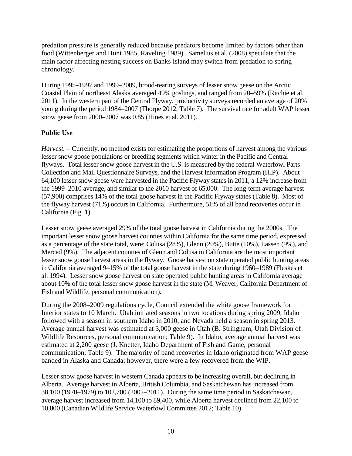predation pressure is generally reduced because predators become limited by factors other than food (Wittenberger and Hunt 1985, Raveling 1989). Samelius et al. (2008) speculate that the main factor affecting nesting success on Banks Island may switch from predation to spring chronology.

During 1995–1997 and 1999–2009, brood-rearing surveys of lesser snow geese on the Arctic Coastal Plain of northeast Alaska averaged 49% goslings, and ranged from 20–59% (Ritchie et al. 2011). In the western part of the Central Flyway, productivity surveys recorded an average of 20% young during the period 1984–2007 (Thorpe 2012, Table 7). The survival rate for adult WAP lesser snow geese from 2000–2007 was 0.85 (Hines et al. 2011).

# <span id="page-15-0"></span>**Public Use**

<span id="page-15-1"></span>*Harvest.* – Currently, no method exists for estimating the proportions of harvest among the various lesser snow goose populations or breeding segments which winter in the Pacific and Central flyways. Total lesser snow goose harvest in the U.S. is measured by the federal Waterfowl Parts Collection and Mail Questionnaire Surveys, and the Harvest Information Program (HIP). About 64,100 lesser snow geese were harvested in the Pacific Flyway states in 2011, a 12% increase from the 1999–2010 average, and similar to the 2010 harvest of 65,000. The long-term average harvest (57,900) comprises 14% of the total goose harvest in the Pacific Flyway states (Table 8). Most of the flyway harvest (71%) occurs in California. Furthermore, 51% of all band recoveries occur in California (Fig. 1).

Lesser snow geese averaged 29% of the total goose harvest in California during the 2000s. The important lesser snow goose harvest counties within California for the same time period, expressed as a percentage of the state total, were: Colusa (28%), Glenn (20%), Butte (10%), Lassen (9%), and Merced (9%). The adjacent counties of Glenn and Colusa in California are the most important lesser snow goose harvest areas in the flyway. Goose harvest on state operated public hunting areas in California averaged 9–15% of the total goose harvest in the state during 1960–1989 (Fleskes et al. 1994). Lesser snow goose harvest on state operated public hunting areas in California average about 10% of the total lesser snow goose harvest in the state (M. Weaver, California Department of Fish and Wildlife, personal communication).

During the 2008–2009 regulations cycle, Council extended the white goose framework for Interior states to 10 March. Utah initiated seasons in two locations during spring 2009, Idaho followed with a season in southern Idaho in 2010, and Nevada held a season in spring 2013. Average annual harvest was estimated at 3,000 geese in Utah (B. Stringham, Utah Division of Wildlife Resources, personal communication; Table 9). In Idaho, average annual harvest was estimated at 2,200 geese (J. Knetter, Idaho Department of Fish and Game, personal communication; Table 9). The majority of band recoveries in Idaho originated from WAP geese banded in Alaska and Canada; however, there were a few recovered from the WIP.

Lesser snow goose harvest in western Canada appears to be increasing overall, but declining in Alberta. Average harvest in Alberta, British Columbia, and Saskatchewan has increased from 38,100 (1970–1979) to 102,700 (2002–2011). During the same time period in Saskatchewan, average harvest increased from 14,100 to 89,400, while Alberta harvest declined from 22,100 to 10,800 (Canadian Wildlife Service Waterfowl Committee 2012; Table 10).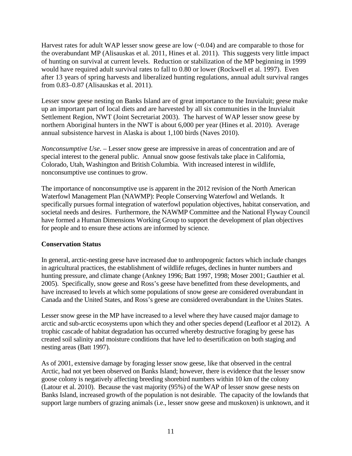Harvest rates for adult WAP lesser snow geese are low  $(-0.04)$  and are comparable to those for the overabundant MP (Alisauskas et al. 2011, Hines et al. 2011). This suggests very little impact of hunting on survival at current levels. Reduction or stabilization of the MP beginning in 1999 would have required adult survival rates to fall to 0.80 or lower (Rockwell et al. 1997). Even after 13 years of spring harvests and liberalized hunting regulations, annual adult survival ranges from 0.83–0.87 (Alisauskas et al. 2011).

Lesser snow geese nesting on Banks Island are of great importance to the Inuvialuit; geese make up an important part of local diets and are harvested by all six communities in the Inuvialuit Settlement Region, NWT (Joint Secretariat 2003). The harvest of WAP lesser snow geese by northern Aboriginal hunters in the NWT is about 6,000 per year (Hines et al. 2010). Average annual subsistence harvest in Alaska is about 1,100 birds (Naves 2010).

<span id="page-16-0"></span>*Nonconsumptive Use*. – Lesser snow geese are impressive in areas of concentration and are of special interest to the general public. Annual snow goose festivals take place in California, Colorado, Utah, Washington and British Columbia. With increased interest in wildlife, nonconsumptive use continues to grow.

The importance of nonconsumptive use is apparent in the 2012 revision of the North American Waterfowl Management Plan (NAWMP): People Conserving Waterfowl and Wetlands. It specifically pursues formal integration of waterfowl population objectives, habitat conservation, and societal needs and desires. Furthermore, the NAWMP Committee and the National Flyway Council have formed a Human Dimensions Working Group to support the development of plan objectives for people and to ensure these actions are informed by science.

# <span id="page-16-1"></span>**Conservation Status**

In general, arctic-nesting geese have increased due to anthropogenic factors which include changes in agricultural practices, the establishment of wildlife refuges, declines in hunter numbers and hunting pressure, and climate change (Ankney 1996; Batt 1997, 1998; Moser 2001; Gauthier et al. 2005). Specifically, snow geese and Ross's geese have benefitted from these developments, and have increased to levels at which some populations of snow geese are considered overabundant in Canada and the United States, and Ross's geese are considered overabundant in the Unites States.

Lesser snow geese in the MP have increased to a level where they have caused major damage to arctic and sub-arctic ecosystems upon which they and other species depend (Leafloor et al 2012). A trophic cascade of habitat degradation has occurred whereby destructive foraging by geese has created soil salinity and moisture conditions that have led to desertification on both staging and nesting areas (Batt 1997).

As of 2001, extensive damage by foraging lesser snow geese, like that observed in the central Arctic, had not yet been observed on Banks Island; however, there is evidence that the lesser snow goose colony is negatively affecting breeding shorebird numbers within 10 km of the colony (Latour et al. 2010). Because the vast majority (95%) of the WAP of lesser snow geese nests on Banks Island, increased growth of the population is not desirable. The capacity of the lowlands that support large numbers of grazing animals (i.e., lesser snow geese and muskoxen) is unknown, and it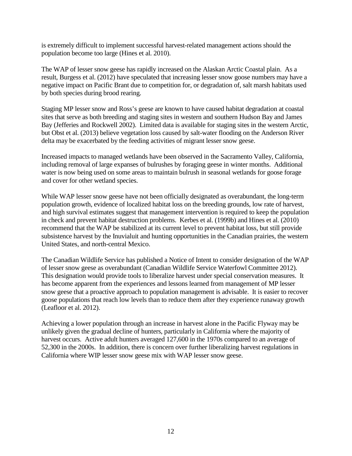is extremely difficult to implement successful harvest-related management actions should the population become too large (Hines et al. 2010).

The WAP of lesser snow geese has rapidly increased on the Alaskan Arctic Coastal plain. As a result, Burgess et al. (2012) have speculated that increasing lesser snow goose numbers may have a negative impact on Pacific Brant due to competition for, or degradation of, salt marsh habitats used by both species during brood rearing.

Staging MP lesser snow and Ross's geese are known to have caused habitat degradation at coastal sites that serve as both breeding and staging sites in western and southern Hudson Bay and James Bay (Jefferies and Rockwell 2002). Limited data is available for staging sites in the western Arctic, but Obst et al. (2013) believe vegetation loss caused by salt-water flooding on the Anderson River delta may be exacerbated by the feeding activities of migrant lesser snow geese.

Increased impacts to managed wetlands have been observed in the Sacramento Valley, California, including removal of large expanses of bulrushes by foraging geese in winter months. Additional water is now being used on some areas to maintain bulrush in seasonal wetlands for goose forage and cover for other wetland species.

While WAP lesser snow geese have not been officially designated as overabundant, the long-term population growth, evidence of localized habitat loss on the breeding grounds, low rate of harvest, and high survival estimates suggest that management intervention is required to keep the population in check and prevent habitat destruction problems. Kerbes et al. (1999b) and Hines et al. (2010) recommend that the WAP be stabilized at its current level to prevent habitat loss, but still provide subsistence harvest by the Inuvialuit and hunting opportunities in the Canadian prairies, the western United States, and north-central Mexico.

The Canadian Wildlife Service has published a Notice of Intent to consider designation of the WAP of lesser snow geese as overabundant (Canadian Wildlife Service Waterfowl Committee 2012). This designation would provide tools to liberalize harvest under special conservation measures. It has become apparent from the experiences and lessons learned from management of MP lesser snow geese that a proactive approach to population management is advisable. It is easier to recover goose populations that reach low levels than to reduce them after they experience runaway growth (Leafloor et al. 2012).

Achieving a lower population through an increase in harvest alone in the Pacific Flyway may be unlikely given the gradual decline of hunters, particularly in California where the majority of harvest occurs. Active adult hunters averaged 127,600 in the 1970s compared to an average of 52,300 in the 2000s. In addition, there is concern over further liberalizing harvest regulations in California where WIP lesser snow geese mix with WAP lesser snow geese.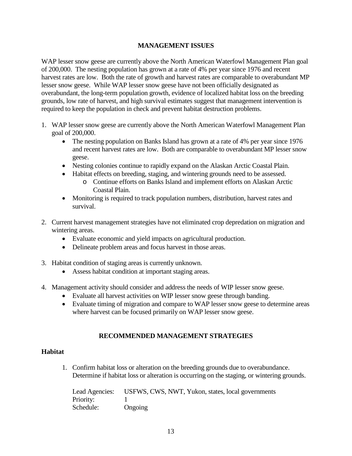# **MANAGEMENT ISSUES**

<span id="page-18-0"></span>WAP lesser snow geese are currently above the North American Waterfowl Management Plan goal of 200,000. The nesting population has grown at a rate of 4% per year since 1976 and recent harvest rates are low. Both the rate of growth and harvest rates are comparable to overabundant MP lesser snow geese. While WAP lesser snow geese have not been officially designated as overabundant, the long-term population growth, evidence of localized habitat loss on the breeding grounds, low rate of harvest, and high survival estimates suggest that management intervention is required to keep the population in check and prevent habitat destruction problems.

- 1. WAP lesser snow geese are currently above the North American Waterfowl Management Plan goal of 200,000.
	- The nesting population on Banks Island has grown at a rate of 4% per year since 1976 and recent harvest rates are low. Both are comparable to overabundant MP lesser snow geese.
	- Nesting colonies continue to rapidly expand on the Alaskan Arctic Coastal Plain.
	- Habitat effects on breeding, staging, and wintering grounds need to be assessed.
		- o Continue efforts on Banks Island and implement efforts on Alaskan Arctic Coastal Plain.
	- Monitoring is required to track population numbers, distribution, harvest rates and survival.
- 2. Current harvest management strategies have not eliminated crop depredation on migration and wintering areas.
	- Evaluate economic and yield impacts on agricultural production.
	- Delineate problem areas and focus harvest in those areas.
- 3. Habitat condition of staging areas is currently unknown.
	- Assess habitat condition at important staging areas.
- 4. Management activity should consider and address the needs of WIP lesser snow geese.
	- Evaluate all harvest activities on WIP lesser snow geese through banding.
	- Evaluate timing of migration and compare to WAP lesser snow geese to determine areas where harvest can be focused primarily on WAP lesser snow geese.

# **RECOMMENDED MANAGEMENT STRATEGIES**

#### <span id="page-18-2"></span><span id="page-18-1"></span>**Habitat**

1. Confirm habitat loss or alteration on the breeding grounds due to overabundance. Determine if habitat loss or alteration is occurring on the staging, or wintering grounds.

| Lead Agencies: | USFWS, CWS, NWT, Yukon, states, local governments |
|----------------|---------------------------------------------------|
| Priority:      |                                                   |
| Schedule:      | Ongoing                                           |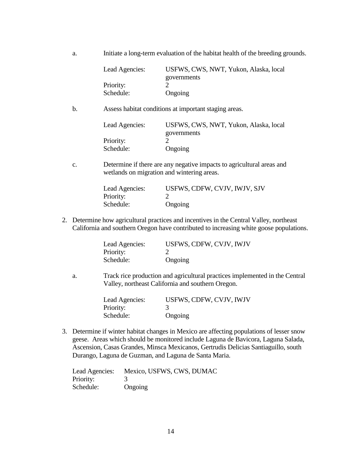a. Initiate a long-term evaluation of the habitat health of the breeding grounds.

| Lead Agencies: | USFWS, CWS, NWT, Yukon, Alaska, local |
|----------------|---------------------------------------|
|                | governments                           |
| Priority:      |                                       |
| Schedule:      | Ongoing                               |

b. Assess habitat conditions at important staging areas.

| Lead Agencies: | USFWS, CWS, NWT, Yukon, Alaska, local |
|----------------|---------------------------------------|
|                | governments                           |
| Priority:      |                                       |
| Schedule:      | Ongoing                               |

c. Determine if there are any negative impacts to agricultural areas and wetlands on migration and wintering areas.

| Lead Agencies: | USFWS, CDFW, CVJV, IWJV, SJV |
|----------------|------------------------------|
| Priority:      |                              |
| Schedule:      | Ongoing                      |

2. Determine how agricultural practices and incentives in the Central Valley, northeast California and southern Oregon have contributed to increasing white goose populations.

| Lead Agencies: | USFWS, CDFW, CVJV, IWJV |
|----------------|-------------------------|
| Priority:      |                         |
| Schedule:      | Ongoing                 |

a. Track rice production and agricultural practices implemented in the Central Valley, northeast California and southern Oregon.

| Lead Agencies: | USFWS, CDFW, CVJV, IWJV |
|----------------|-------------------------|
| Priority:      |                         |
| Schedule:      | Ongoing                 |

3. Determine if winter habitat changes in Mexico are affecting populations of lesser snow geese. Areas which should be monitored include Laguna de Bavicora, Laguna Salada, Ascension, Casas Grandes, Minsca Mexicanos, Gertrudis Delicias Santiaguillo, south Durango, Laguna de Guzman, and Laguna de Santa Maria.

<span id="page-19-0"></span>

| Lead Agencies: | Mexico, USFWS, CWS, DUMAC |
|----------------|---------------------------|
| Priority:      |                           |
| Schedule:      | Ongoing                   |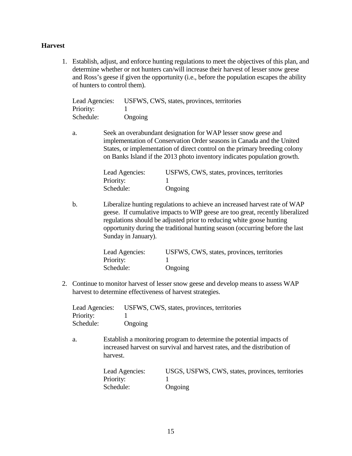#### **Harvest**

1. Establish, adjust, and enforce hunting regulations to meet the objectives of this plan, and determine whether or not hunters can/will increase their harvest of lesser snow geese and Ross's geese if given the opportunity (i.e., before the population escapes the ability of hunters to control them).

| Lead Agencies:<br>Priority: |                | USFWS, CWS, states, provinces, territories                                                                                                                                                                                                                                                        |
|-----------------------------|----------------|---------------------------------------------------------------------------------------------------------------------------------------------------------------------------------------------------------------------------------------------------------------------------------------------------|
| Schedule:                   | Ongoing        |                                                                                                                                                                                                                                                                                                   |
| a.                          |                | Seek an overabundant designation for WAP lesser snow geese and<br>implementation of Conservation Order seasons in Canada and the United<br>States, or implementation of direct control on the primary breeding colony<br>on Banks Island if the 2013 photo inventory indicates population growth. |
|                             | Lead Agencies: | USFWS, CWS, states, provinces, territories                                                                                                                                                                                                                                                        |
|                             | Priority:      |                                                                                                                                                                                                                                                                                                   |

b. Liberalize hunting regulations to achieve an increased harvest rate of WAP geese. If cumulative impacts to WIP geese are too great, recently liberalized regulations should be adjusted prior to reducing white goose hunting opportunity during the traditional hunting season (occurring before the last Sunday in January).

Schedule: Ongoing

| Lead Agencies: | USFWS, CWS, states, provinces, territories |
|----------------|--------------------------------------------|
| Priority:      |                                            |
| Schedule:      | Ongoing                                    |

2. Continue to monitor harvest of lesser snow geese and develop means to assess WAP harvest to determine effectiveness of harvest strategies.

| Lead Agencies: | USFWS, CWS, states, provinces, territories |
|----------------|--------------------------------------------|
| Priority:      |                                            |
| Schedule:      | Ongoing                                    |

a. Establish a monitoring program to determine the potential impacts of increased harvest on survival and harvest rates, and the distribution of harvest.

| Lead Agencies: | USGS, USFWS, CWS, states, provinces, territories |
|----------------|--------------------------------------------------|
| Priority:      |                                                  |
| Schedule:      | Ongoing                                          |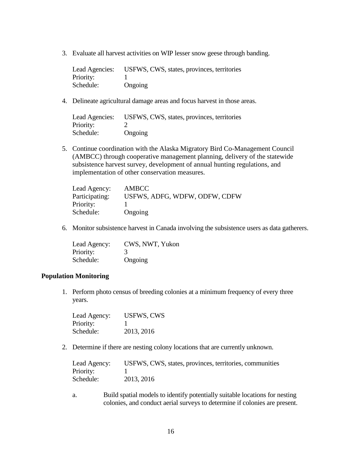3. Evaluate all harvest activities on WIP lesser snow geese through banding.

| Lead Agencies: | USFWS, CWS, states, provinces, territories |
|----------------|--------------------------------------------|
| Priority:      |                                            |
| Schedule:      | Ongoing                                    |

4. Delineate agricultural damage areas and focus harvest in those areas.

| Lead Agencies: | USFWS, CWS, states, provinces, territories |
|----------------|--------------------------------------------|
| Priority:      |                                            |
| Schedule:      | Ongoing                                    |

5. Continue coordination with the Alaska Migratory Bird Co-Management Council (AMBCC) through cooperative management planning, delivery of the statewide subsistence harvest survey, development of annual hunting regulations, and implementation of other conservation measures.

| Lead Agency:   | AMBCC                         |
|----------------|-------------------------------|
| Participating: | USFWS, ADFG, WDFW, ODFW, CDFW |
| Priority:      |                               |
| Schedule:      | Ongoing                       |

6. Monitor subsistence harvest in Canada involving the subsistence users as data gatherers.

| Lead Agency: | CWS, NWT, Yukon |
|--------------|-----------------|
| Priority:    | 3               |
| Schedule:    | Ongoing         |

#### <span id="page-21-0"></span>**Population Monitoring**

1. Perform photo census of breeding colonies at a minimum frequency of every three years.

| Lead Agency: | <b>USFWS, CWS</b> |
|--------------|-------------------|
| Priority:    |                   |
| Schedule:    | 2013, 2016        |

2. Determine if there are nesting colony locations that are currently unknown.

| Lead Agency: | USFWS, CWS, states, provinces, territories, communities |
|--------------|---------------------------------------------------------|
| Priority:    |                                                         |
| Schedule:    | 2013, 2016                                              |

a. Build spatial models to identify potentially suitable locations for nesting colonies, and conduct aerial surveys to determine if colonies are present.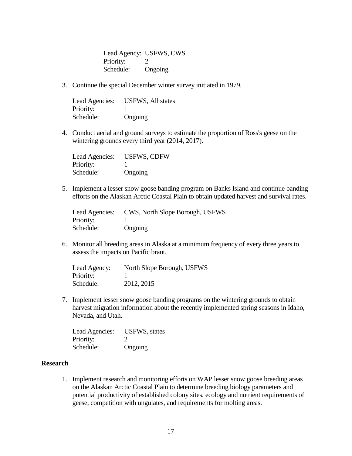Lead Agency: USFWS, CWS Priority: 2 Schedule: Ongoing

3. Continue the special December winter survey initiated in 1979.

| Lead Agencies: | <b>USFWS, All states</b> |
|----------------|--------------------------|
| Priority:      |                          |
| Schedule:      | Ongoing                  |

4. Conduct aerial and ground surveys to estimate the proportion of Ross's geese on the wintering grounds every third year (2014, 2017).

| Lead Agencies: | <b>USFWS, CDFW</b> |
|----------------|--------------------|
| Priority:      |                    |
| Schedule:      | Ongoing            |

5. Implement a lesser snow goose banding program on Banks Island and continue banding efforts on the Alaskan Arctic Coastal Plain to obtain updated harvest and survival rates.

| Lead Agencies: | CWS, North Slope Borough, USFWS |
|----------------|---------------------------------|
| Priority:      |                                 |
| Schedule:      | Ongoing                         |

6. Monitor all breeding areas in Alaska at a minimum frequency of every three years to assess the impacts on Pacific brant.

| Lead Agency: | North Slope Borough, USFWS |
|--------------|----------------------------|
| Priority:    |                            |
| Schedule:    | 2012, 2015                 |

7. Implement lesser snow goose banding programs on the wintering grounds to obtain harvest migration information about the recently implemented spring seasons in Idaho, Nevada, and Utah.

| Lead Agencies: | <b>USFWS</b> , states |
|----------------|-----------------------|
| Priority:      |                       |
| Schedule:      | Ongoing               |

#### <span id="page-22-0"></span>**Research**

1. Implement research and monitoring efforts on WAP lesser snow goose breeding areas on the Alaskan Arctic Coastal Plain to determine breeding biology parameters and potential productivity of established colony sites, ecology and nutrient requirements of geese, competition with ungulates, and requirements for molting areas.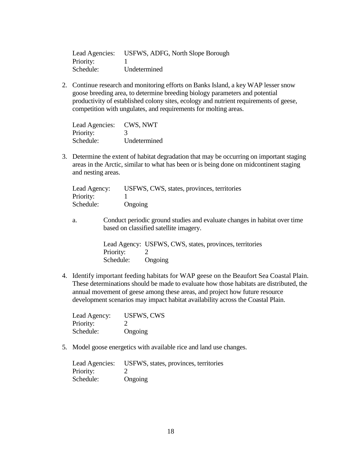| Lead Agencies: | USFWS, ADFG, North Slope Borough |
|----------------|----------------------------------|
| Priority:      |                                  |
| Schedule:      | Undetermined                     |

2. Continue research and monitoring efforts on Banks Island, a key WAP lesser snow goose breeding area, to determine breeding biology parameters and potential productivity of established colony sites, ecology and nutrient requirements of geese, competition with ungulates, and requirements for molting areas.

| Lead Agencies: | CWS, NWT     |
|----------------|--------------|
| Priority:      | 3            |
| Schedule:      | Undetermined |

3. Determine the extent of habitat degradation that may be occurring on important staging areas in the Arctic, similar to what has been or is being done on midcontinent staging and nesting areas.

| Lead Agency: | USFWS, CWS, states, provinces, territories |
|--------------|--------------------------------------------|
| Priority:    |                                            |
| Schedule:    | Ongoing                                    |

a. Conduct periodic ground studies and evaluate changes in habitat over time based on classified satellite imagery.

> Lead Agency: USFWS, CWS, states, provinces, territories Priority: 2 Schedule: Ongoing

4. Identify important feeding habitats for WAP geese on the Beaufort Sea Coastal Plain. These determinations should be made to evaluate how those habitats are distributed, the annual movement of geese among these areas, and project how future resource development scenarios may impact habitat availability across the Coastal Plain.

| Lead Agency: | <b>USFWS, CWS</b> |
|--------------|-------------------|
| Priority:    | $\mathcal{L}$     |
| Schedule:    | Ongoing           |

5. Model goose energetics with available rice and land use changes.

| Lead Agencies: | USFWS, states, provinces, territories |
|----------------|---------------------------------------|
| Priority:      |                                       |
| Schedule:      | Ongoing                               |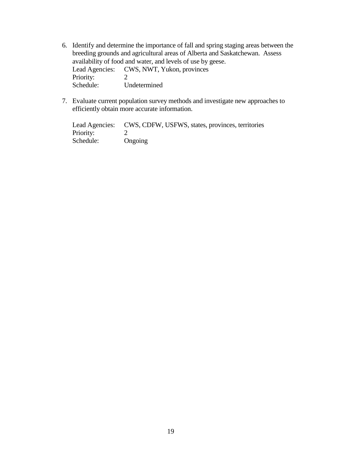- 6. Identify and determine the importance of fall and spring staging areas between the breeding grounds and agricultural areas of Alberta and Saskatchewan. Assess availability of food and water, and levels of use by geese. Lead Agencies: CWS, NWT, Yukon, provinces<br>Priority: 2 Priority:<br>Schedule: Undetermined
- 7. Evaluate current population survey methods and investigate new approaches to efficiently obtain more accurate information.

<span id="page-24-0"></span>

|           | Lead Agencies: CWS, CDFW, USFWS, states, provinces, territories |
|-----------|-----------------------------------------------------------------|
| Priority: |                                                                 |
| Schedule: | Ongoing                                                         |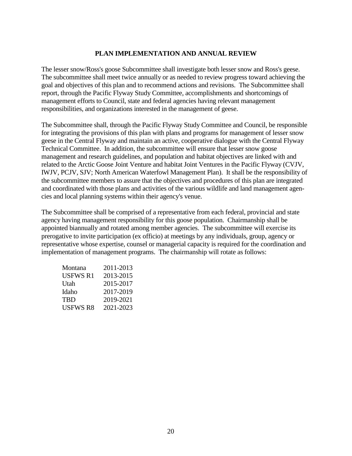# **PLAN IMPLEMENTATION AND ANNUAL REVIEW**

The lesser snow/Ross's goose Subcommittee shall investigate both lesser snow and Ross's geese. The subcommittee shall meet twice annually or as needed to review progress toward achieving the goal and objectives of this plan and to recommend actions and revisions. The Subcommittee shall report, through the Pacific Flyway Study Committee, accomplishments and shortcomings of management efforts to Council, state and federal agencies having relevant management responsibilities, and organizations interested in the management of geese.

The Subcommittee shall, through the Pacific Flyway Study Committee and Council, be responsible for integrating the provisions of this plan with plans and programs for management of lesser snow geese in the Central Flyway and maintain an active, cooperative dialogue with the Central Flyway Technical Committee. In addition, the subcommittee will ensure that lesser snow goose management and research guidelines, and population and habitat objectives are linked with and related to the Arctic Goose Joint Venture and habitat Joint Ventures in the Pacific Flyway (CVJV, IWJV, PCJV, SJV; North American Waterfowl Management Plan). It shall be the responsibility of the subcommittee members to assure that the objectives and procedures of this plan are integrated and coordinated with those plans and activities of the various wildlife and land management agencies and local planning systems within their agency's venue.

The Subcommittee shall be comprised of a representative from each federal, provincial and state agency having management responsibility for this goose population. Chairmanship shall be appointed biannually and rotated among member agencies. The subcommittee will exercise its prerogative to invite participation (ex officio) at meetings by any individuals, group, agency or representative whose expertise, counsel or managerial capacity is required for the coordination and implementation of management programs. The chairmanship will rotate as follows:

| Montana         | 2011-2013 |
|-----------------|-----------|
| <b>USFWS R1</b> | 2013-2015 |
| Utah            | 2015-2017 |
| Idaho           | 2017-2019 |
| TBD             | 2019-2021 |
| <b>USFWS R8</b> | 2021-2023 |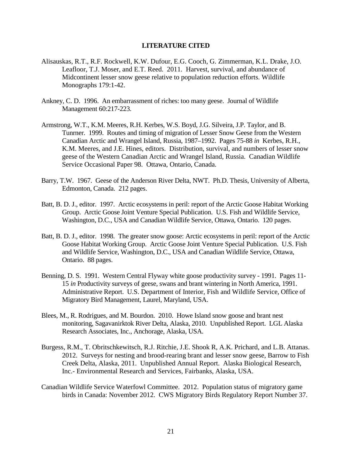#### **LITERATURE CITED**

- <span id="page-26-0"></span>Alisauskas, R.T., R.F. Rockwell, K.W. Dufour, E.G. Cooch, G. Zimmerman, K.L. Drake, J.O. Leafloor, T.J. Moser, and E.T. Reed. 2011. Harvest, survival, and abundance of Midcontinent lesser snow geese relative to population reduction efforts. Wildlife Monographs 179:1-42.
- Ankney, C. D. 1996. An embarrassment of riches: too many geese. Journal of Wildlife Management 60:217-223.
- Armstrong, W.T., K.M. Meeres, R.H. Kerbes, W.S. Boyd, J.G. Silveira, J.P. Taylor, and B. Tunrner. 1999. Routes and timing of migration of Lesser Snow Geese from the Western Canadian Arctic and Wrangel Island, Russia, 1987–1992. Pages 75-88 *in* Kerbes, R.H., K.M. Meeres, and J.E. Hines, editors. Distribution, survival, and numbers of lesser snow geese of the Western Canadian Arctic and Wrangel Island, Russia. Canadian Wildlife Service Occasional Paper 98. Ottawa, Ontario, Canada.
- Barry, T.W. 1967. Geese of the Anderson River Delta, NWT. Ph.D. Thesis, University of Alberta, Edmonton, Canada. 212 pages.
- Batt, B. D. J., editor. 1997. Arctic ecosystems in peril: report of the Arctic Goose Habitat Working Group. Arctic Goose Joint Venture Special Publication. U.S. Fish and Wildlife Service, Washington, D.C., USA and Canadian Wildlife Service, Ottawa, Ontario. 120 pages.
- Batt, B. D. J., editor. 1998. The greater snow goose: Arctic ecosystems in peril: report of the Arctic Goose Habitat Working Group. Arctic Goose Joint Venture Special Publication. U.S. Fish and Wildlife Service, Washington, D.C., USA and Canadian Wildlife Service, Ottawa, Ontario. 88 pages.
- Benning, D. S. 1991. Western Central Flyway white goose productivity survey 1991. Pages 11- 15 *in* Productivity surveys of geese, swans and brant wintering in North America, 1991. Administrative Report. U.S. Department of Interior, Fish and Wildlife Service, Office of Migratory Bird Management, Laurel, Maryland, USA.
- Blees, M., R. Rodrigues, and M. Bourdon. 2010. Howe Island snow goose and brant nest monitoring, Sagavanirktok River Delta, Alaska, 2010. Unpublished Report. LGL Alaska Research Associates, Inc., Anchorage, Alaska, USA.
- Burgess, R.M., T. Obritschkewitsch, R.J. Ritchie, J.E. Shook R, A.K. Prichard, and L.B. Attanas. 2012. Surveys for nesting and brood-rearing brant and lesser snow geese, Barrow to Fish Creek Delta, Alaska, 2011. Unpublished Annual Report. Alaska Biological Research, Inc.- Environmental Research and Services, Fairbanks, Alaska, USA.
- Canadian Wildlife Service Waterfowl Committee. 2012. Population status of migratory game birds in Canada: November 2012. CWS Migratory Birds Regulatory Report Number 37.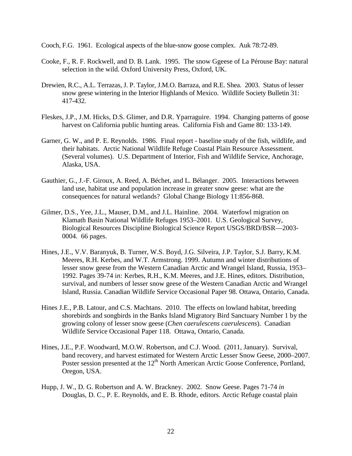Cooch, F.G. 1961. Ecological aspects of the blue-snow goose complex. Auk 78:72-89.

- Cooke, F., R. F. Rockwell, and D. B. Lank. 1995. The snow Ggeese of La Pérouse Bay: natural selection in the wild. Oxford University Press, Oxford, UK.
- Drewien, R.C., A.L. Terrazas, J. P. Taylor, J.M.O. Barraza, and R.E. Shea. 2003. Status of lesser snow geese wintering in the Interior Highlands of Mexico. Wildlife Society Bulletin 31: 417-432.
- Fleskes, J.P., J.M. Hicks, D.S. Glimer, and D.R. Yparraguire. 1994. Changing patterns of goose harvest on California public hunting areas. California Fish and Game 80: 133-149.
- Garner, G. W., and P. E. Reynolds. 1986. Final report baseline study of the fish, wildlife, and their habitats. Arctic National Wildlife Refuge Coastal Plain Resource Assessment. (Several volumes). U.S. Department of Interior, Fish and Wildlife Service, Anchorage, Alaska, USA.
- Gauthier, G., J.-F. Giroux, A. Reed, A. Béchet, and L. Bélanger. 2005. Interactions between land use, habitat use and population increase in greater snow geese: what are the consequences for natural wetlands? Global Change Biology 11:856-868.
- Gilmer, D.S., Yee, J.L., Mauser, D.M., and J.L. Hainline. 2004. Waterfowl migration on Klamath Basin National Wildlife Refuges 1953–2001. U.S. Geological Survey, Biological Resources Discipline Biological Science Report USGS/BRD/BSR—2003- 0004. 66 pages.
- Hines, J.E., V.V. Baranyuk, B. Turner, W.S. Boyd, J.G. Silveira, J.P. Taylor, S.J. Barry, K.M. Meeres, R.H. Kerbes, and W.T. Armstrong. 1999. Autumn and winter distributions of lesser snow geese from the Western Canadian Arctic and Wrangel Island, Russia, 1953– 1992. Pages 39-74 i*n:* Kerbes, R.H., K.M. Meeres, and J.E. Hines, editors. Distribution, survival, and numbers of lesser snow geese of the Western Canadian Arctic and Wrangel Island, Russia. Canadian Wildlife Service Occasional Paper 98. Ottawa, Ontario, Canada.
- Hines J.E., P.B. Latour, and C.S. Machtans. 2010. The effects on lowland habitat, breeding shorebirds and songbirds in the Banks Island Migratory Bird Sanctuary Number 1 by the growing colony of lesser snow geese (*Chen caerulescens caerulescens*). Canadian Wildlife Service Occasional Paper 118. Ottawa, Ontario, Canada.
- Hines, J.E., P.F. Woodward, M.O.W. Robertson, and C.J. Wood. (2011, January). Survival, band recovery, and harvest estimated for Western Arctic Lesser Snow Geese, 2000–2007. Poster session presented at the 12<sup>th</sup> North American Arctic Goose Conference, Portland, Oregon, USA.
- Hupp, J. W., D. G. Robertson and A. W. Brackney. 2002. Snow Geese. Pages 71-74 *in*  Douglas, D. C., P. E. Reynolds, and E. B. Rhode, editors. Arctic Refuge coastal plain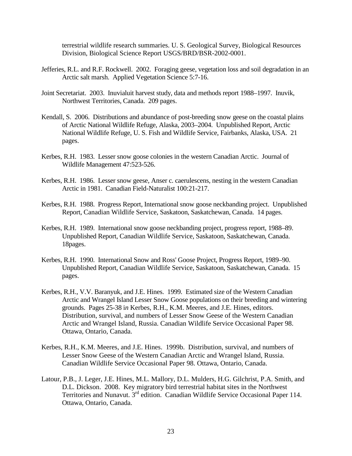terrestrial wildlife research summaries. U. S. Geological Survey, Biological Resources Division, Biological Science Report USGS/BRD/BSR-2002-0001.

- Jefferies, R.L. and R.F. Rockwell. 2002. Foraging geese, vegetation loss and soil degradation in an Arctic salt marsh. Applied Vegetation Science 5:7-16.
- Joint Secretariat. 2003. Inuvialuit harvest study, data and methods report 1988–1997. Inuvik, Northwest Territories, Canada. 209 pages.
- Kendall, S. 2006. Distributions and abundance of post-breeding snow geese on the coastal plains of Arctic National Wildlife Refuge, Alaska, 2003–2004. Unpublished Report, Arctic National Wildlife Refuge, U. S. Fish and Wildlife Service, Fairbanks, Alaska, USA. 21 pages.
- Kerbes, R.H. 1983. Lesser snow goose colonies in the western Canadian Arctic. Journal of Wildlife Management 47:523-526.
- Kerbes, R.H. 1986. Lesser snow geese, Anser c. caerulescens, nesting in the western Canadian Arctic in 1981. Canadian Field-Naturalist 100:21-217.
- Kerbes, R.H. 1988. Progress Report, International snow goose neckbanding project. Unpublished Report, Canadian Wildlife Service, Saskatoon, Saskatchewan, Canada. 14 pages.
- Kerbes, R.H. 1989. International snow goose neckbanding project, progress report, 1988–89. Unpublished Report, Canadian Wildlife Service, Saskatoon, Saskatchewan, Canada. 18pages.
- Kerbes, R.H. 1990. International Snow and Ross' Goose Project, Progress Report, 1989–90. Unpublished Report, Canadian Wildlife Service, Saskatoon, Saskatchewan, Canada. 15 pages.
- Kerbes, R.H., V.V. Baranyuk, and J.E. Hines. 1999. Estimated size of the Western Canadian Arctic and Wrangel Island Lesser Snow Goose populations on their breeding and wintering grounds. Pages 25-38 i*n* Kerbes, R.H., K.M. Meeres, and J.E. Hines, editors. Distribution, survival, and numbers of Lesser Snow Geese of the Western Canadian Arctic and Wrangel Island, Russia. Canadian Wildlife Service Occasional Paper 98. Ottawa, Ontario, Canada.
- Kerbes, R.H., K.M. Meeres, and J.E. Hines. 1999b. Distribution, survival, and numbers of Lesser Snow Geese of the Western Canadian Arctic and Wrangel Island, Russia. Canadian Wildlife Service Occasional Paper 98. Ottawa, Ontario, Canada.
- Latour, P.B., J. Leger, J.E. Hines, M.L. Mallory, D.L. Mulders, H.G. Gilchrist, P.A. Smith, and D.L. Dickson. 2008. Key migratory bird terrestrial habitat sites in the Northwest Territories and Nunavut. 3rd edition. Canadian Wildlife Service Occasional Paper 114. Ottawa, Ontario, Canada.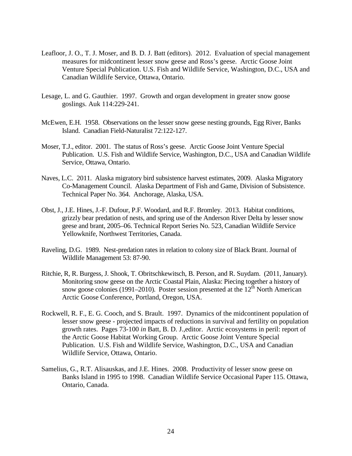- Leafloor, J. O., T. J. Moser, and B. D. J. Batt (editors). 2012. Evaluation of special management measures for midcontinent lesser snow geese and Ross's geese. Arctic Goose Joint Venture Special Publication. U.S. Fish and Wildlife Service, Washington, D.C., USA and Canadian Wildlife Service, Ottawa, Ontario.
- Lesage, L. and G. Gauthier. 1997. Growth and organ development in greater snow goose goslings. Auk 114:229-241.
- McEwen, E.H. 1958. Observations on the lesser snow geese nesting grounds, Egg River, Banks Island. Canadian Field-Naturalist 72:122-127.
- Moser, T.J., editor. 2001. The status of Ross's geese. Arctic Goose Joint Venture Special Publication. U.S. Fish and Wildlife Service, Washington, D.C., USA and Canadian Wildlife Service, Ottawa, Ontario.
- Naves, L.C. 2011. Alaska migratory bird subsistence harvest estimates, 2009. Alaska Migratory Co-Management Council. Alaska Department of Fish and Game, Division of Subsistence. Technical Paper No. 364. Anchorage, Alaska, USA.
- Obst, J., J.E. Hines, J.-F. Dufour, P.F. Woodard, and R.F. Bromley. 2013. Habitat conditions, grizzly bear predation of nests, and spring use of the Anderson River Delta by lesser snow geese and brant, 2005–06. Technical Report Series No. 523, Canadian Wildlife Service Yellowknife, Northwest Territories, Canada.
- Raveling, D.G. 1989. Nest-predation rates in relation to colony size of Black Brant. Journal of Wildlife Management 53: 87-90.
- Ritchie, R, R. Burgess, J. Shook, T. Obritschkewitsch, B. Person, and R. Suydam. (2011, January). Monitoring snow geese on the Arctic Coastal Plain, Alaska: Piecing together a history of snow goose colonies (1991–2010). Poster session presented at the  $12<sup>th</sup>$  North American Arctic Goose Conference, Portland, Oregon, USA.
- Rockwell, R. F., E. G. Cooch, and S. Brault. 1997. Dynamics of the midcontinent population of lesser snow geese - projected impacts of reductions in survival and fertility on population growth rates. Pages 73-100 *in* Batt, B. D. J.,editor. Arctic ecosystems in peril: report of the Arctic Goose Habitat Working Group. Arctic Goose Joint Venture Special Publication. U.S. Fish and Wildlife Service, Washington, D.C., USA and Canadian Wildlife Service, Ottawa, Ontario.
- Samelius, G., R.T. Alisauskas, and J.E. Hines. 2008. Productivity of lesser snow geese on Banks Island in 1995 to 1998. Canadian Wildlife Service Occasional Paper 115. Ottawa, Ontario, Canada.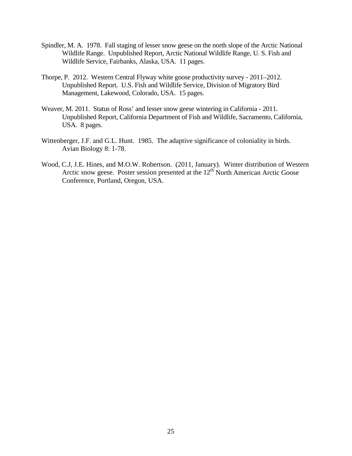- Spindler, M. A. 1978. Fall staging of lesser snow geese on the north slope of the Arctic National Wildlife Range. Unpublished Report, Arctic National Wildlife Range, U. S. Fish and Wildlife Service, Fairbanks, Alaska, USA. 11 pages.
- Thorpe, P. 2012. Western Central Flyway white goose productivity survey 2011–2012. Unpublished Report. U.S. Fish and Wildlife Service, Division of Migratory Bird Management, Lakewood, Colorado, USA. 15 pages.
- Weaver, M. 2011. Status of Ross' and lesser snow geese wintering in California 2011. Unpublished Report, California Department of Fish and Wildlife, Sacramento, California, USA. 8 pages.
- Wittenberger, J.F. and G.L. Hunt. 1985. The adaptive significance of coloniality in birds. Avian Biology 8: 1-78.
- Wood, C.J, J.E. Hines, and M.O.W. Robertson. (2011, January). Winter distribution of Western Arctic snow geese. Poster session presented at the  $12<sup>th</sup>$  North American Arctic Goose Conference, Portland, Oregon, USA.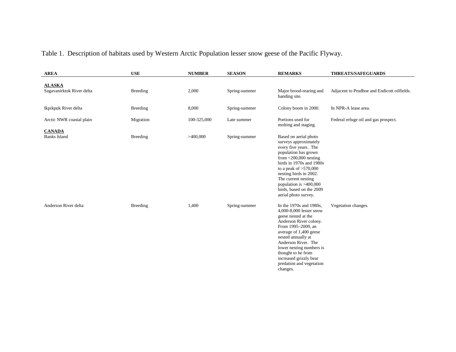# Table 1. Description of habitats used by Western Arctic Population lesser snow geese of the Pacific Flyway.

<span id="page-31-0"></span>

| <b>AREA</b>                                | <b>USE</b>      | <b>NUMBER</b> | <b>SEASON</b> | <b>REMARKS</b>                                                                                                                                                                                                                                                                                                         | <b>THREATS/SAFEGUARDS</b>                   |
|--------------------------------------------|-----------------|---------------|---------------|------------------------------------------------------------------------------------------------------------------------------------------------------------------------------------------------------------------------------------------------------------------------------------------------------------------------|---------------------------------------------|
| <b>ALASKA</b><br>Sagavanirktok River delta | <b>Breeding</b> | 2,000         | Spring-summer | Major brood-rearing and                                                                                                                                                                                                                                                                                                | Adjacent to Prudhoe and Endicott oilfields. |
| Ikpikpuk River delta                       | Breeding        | 8,000         | Spring-summer | banding site.<br>Colony boom in 2000.                                                                                                                                                                                                                                                                                  | In NPR-A lease area.                        |
| Arctic NWR coastal plain                   | Migration       | 100-325,000   | Late summer   | Portions used for<br>molting and staging.                                                                                                                                                                                                                                                                              | Federal refuge oil and gas prospect.        |
| <b>CANADA</b><br><b>Banks Island</b>       | <b>Breeding</b> | >400,000      | Spring-summer | Based on aerial photo<br>surveys approximately<br>every five years. The<br>population has grown<br>from $\leq$ 200,000 nesting<br>birds in 1970s and 1980s<br>to a peak of $>570,000$<br>nesting birds in 2002.<br>The current nesting<br>population is $>400,000$<br>birds, based on the 2009<br>aerial photo survey. |                                             |
| Anderson River delta                       | <b>Breeding</b> | 1,400         | Spring-summer | In the 1970s and 1980s,<br>4,000-8,000 lesser snow<br>geese nested at the<br>Anderson River colony.<br>From 1995-2009, an<br>average of 1,400 geese<br>nested annually at<br>Anderson River. The<br>lower nesting numbers is<br>thought to be from<br>increased grizzly bear<br>predation and vegetation<br>changes.   | Vegetation changes.                         |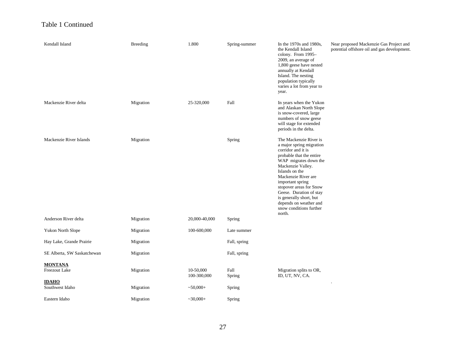# Table 1 Continued

| Kendall Island                  | <b>Breeding</b> | 1.800                    | Spring-summer  | In the 1970s and 1980s,<br>the Kendall Island<br>colony. From 1995-<br>2009, an average of<br>1,800 geese have nested<br>annually at Kendall<br>Island. The nesting<br>population typically<br>varies a lot from year to<br>year.                                                                                                                               | Near proposed Mackenzie Gas Project and<br>potential offshore oil and gas development. |
|---------------------------------|-----------------|--------------------------|----------------|-----------------------------------------------------------------------------------------------------------------------------------------------------------------------------------------------------------------------------------------------------------------------------------------------------------------------------------------------------------------|----------------------------------------------------------------------------------------|
| Mackenzie River delta           | Migration       | 25-320,000               | Fall           | In years when the Yukon<br>and Alaskan North Slope<br>is snow-covered, large<br>numbers of snow geese<br>will stage for extended<br>periods in the delta.                                                                                                                                                                                                       |                                                                                        |
| Mackenzie River Islands         | Migration       |                          | Spring         | The Mackenzie River is<br>a major spring migration<br>corridor and it is<br>probable that the entire<br>WAP migrates down the<br>Mackenzie Valley.<br>Islands on the<br>Mackenzie River are<br>important spring<br>stopover areas for Snow<br>Geese. Duration of stay<br>is generally short, but<br>depends on weather and<br>snow conditions further<br>north. |                                                                                        |
| Anderson River delta            | Migration       | 20,000-40,000            | Spring         |                                                                                                                                                                                                                                                                                                                                                                 |                                                                                        |
| Yukon North Slope               | Migration       | 100-600,000              | Late summer    |                                                                                                                                                                                                                                                                                                                                                                 |                                                                                        |
| Hay Lake, Grande Prairie        | Migration       |                          | Fall, spring   |                                                                                                                                                                                                                                                                                                                                                                 |                                                                                        |
| SE Alberta, SW Saskatchewan     | Migration       |                          | Fall, spring   |                                                                                                                                                                                                                                                                                                                                                                 |                                                                                        |
| <b>MONTANA</b><br>Freezout Lake | Migration       | 10-50,000<br>100-300,000 | Fall<br>Spring | Migration splits to OR,<br>ID, UT, NV, CA.                                                                                                                                                                                                                                                                                                                      |                                                                                        |
| <b>IDAHO</b><br>Southwest Idaho | Migration       | $~10,000+$               | Spring         |                                                                                                                                                                                                                                                                                                                                                                 |                                                                                        |
| Eastern Idaho                   | Migration       | $-30,000+$               | Spring         |                                                                                                                                                                                                                                                                                                                                                                 |                                                                                        |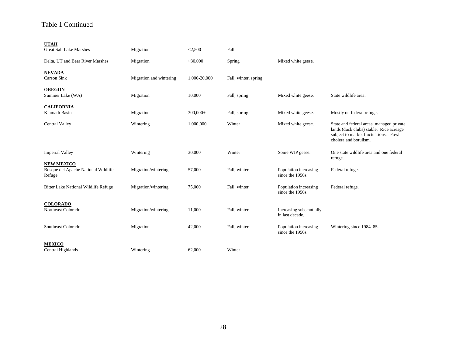# Table 1 Continued

| <b>UTAH</b>                                                        |                         |              |                      |                                             |                                                                                                                                                      |
|--------------------------------------------------------------------|-------------------------|--------------|----------------------|---------------------------------------------|------------------------------------------------------------------------------------------------------------------------------------------------------|
| <b>Great Salt Lake Marshes</b>                                     | Migration               | < 2,500      | Fall                 |                                             |                                                                                                                                                      |
| Delta, UT and Bear River Marshes                                   | Migration               | ~20,000      | Spring               | Mixed white geese.                          |                                                                                                                                                      |
| <b>NEVADA</b><br>Carson Sink                                       | Migration and wintering | 1,000-20,000 | Fall, winter, spring |                                             |                                                                                                                                                      |
| <b>OREGON</b><br>Summer Lake (WA)                                  | Migration               | 10,000       | Fall, spring         | Mixed white geese.                          | State wildlife area.                                                                                                                                 |
| <b>CALIFORNIA</b><br><b>Klamath Basin</b>                          | Migration               | $300,000+$   | Fall, spring         | Mixed white geese.                          | Mostly on federal refuges.                                                                                                                           |
| <b>Central Valley</b>                                              | Wintering               | 1,000,000    | Winter               | Mixed white geese.                          | State and federal areas, managed private<br>lands (duck clubs) stable. Rice acreage<br>subject to market fluctuations. Fowl<br>cholera and botulism. |
| <b>Imperial Valley</b>                                             | Wintering               | 30,000       | Winter               | Some WIP geese.                             | One state wildlife area and one federal<br>refuge.                                                                                                   |
| <b>NEW MEXICO</b><br>Bosque del Apache National Wildlife<br>Refuge | Migration/wintering     | 57,000       | Fall, winter         | Population increasing<br>since the 1950s.   | Federal refuge.                                                                                                                                      |
| Bitter Lake National Wildlife Refuge                               | Migration/wintering     | 75,000       | Fall, winter         | Population increasing<br>since the 1950s.   | Federal refuge.                                                                                                                                      |
| <b>COLORADO</b><br>Northeast Colorado                              | Migration/wintering     | 11,000       | Fall, winter         | Increasing substantially<br>in last decade. |                                                                                                                                                      |
| Southeast Colorado                                                 | Migration               | 42,000       | Fall, winter         | Population increasing<br>since the 1950s.   | Wintering since 1984-85.                                                                                                                             |
| <b>MEXICO</b>                                                      |                         |              |                      |                                             |                                                                                                                                                      |
| Central Highlands                                                  | Wintering               | 62,000       | Winter               |                                             |                                                                                                                                                      |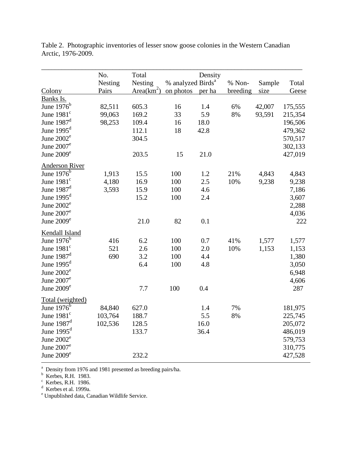|                          | No.     | Total        |                               | Density |          |        |         |
|--------------------------|---------|--------------|-------------------------------|---------|----------|--------|---------|
|                          | Nesting | Nesting      | % analyzed Birds <sup>a</sup> |         | % Non-   | Sample | Total   |
| Colony                   | Pairs   | $Area(km^2)$ | on photos                     | per ha  | breeding | size   | Geese   |
| Banks Is.                |         |              |                               |         |          |        |         |
| June $1976^b$            | 82,511  | 605.3        | 16                            | 1.4     | 6%       | 42,007 | 175,555 |
| June $1981c$             | 99,063  | 169.2        | 33                            | 5.9     | 8%       | 93,591 | 215,354 |
| June $1987d$             | 98,253  | 109.4        | 16                            | 18.0    |          |        | 196,506 |
| June $1995d$             |         | 112.1        | 18                            | 42.8    |          |        | 479,362 |
| June $2002^e$            |         | 304.5        |                               |         |          |        | 570,517 |
| June 2007 <sup>e</sup>   |         |              |                               |         |          |        | 302,133 |
| June $2009^e$            |         | 203.5        | 15                            | 21.0    |          |        | 427,019 |
| <b>Anderson River</b>    |         |              |                               |         |          |        |         |
| June $1976b$             | 1,913   | 15.5         | 100                           | 1.2     | 21%      | 4,843  | 4,843   |
| June $1981c$             | 4,180   | 16.9         | 100                           | 2.5     | 10%      | 9,238  | 9,238   |
| June $1987$ <sup>d</sup> | 3,593   | 15.9         | 100                           | 4.6     |          |        | 7,186   |
| June $1995d$             |         | 15.2         | 100                           | 2.4     |          |        | 3,607   |
| June $2002e$             |         |              |                               |         |          |        | 2,288   |
| June 2007 <sup>e</sup>   |         |              |                               |         |          |        | 4,036   |
| June $2009^e$            |         | 21.0         | 82                            | 0.1     |          |        | 222     |
| Kendall Island           |         |              |                               |         |          |        |         |
| June $1976^b$            | 416     | 6.2          | 100                           | 0.7     | 41%      | 1,577  | 1,577   |
| June $1981^{\circ}$      | 521     | 2.6          | 100                           | 2.0     | 10%      | 1,153  | 1,153   |
| June $1987$ <sup>d</sup> | 690     | 3.2          | 100                           | 4.4     |          |        | 1,380   |
| June $1995d$             |         | 6.4          | 100                           | 4.8     |          |        | 3,050   |
| June $2002e$             |         |              |                               |         |          |        | 6,948   |
| June $2007^e$            |         |              |                               |         |          |        | 4,606   |
| June $2009e$             |         | 7.7          | 100                           | 0.4     |          |        | 287     |
|                          |         |              |                               |         |          |        |         |
| Total (weighted)         |         |              |                               |         |          |        |         |
| June $1976^5$            | 84,840  | 627.0        |                               | 1.4     | 7%       |        | 181,975 |
| June $1981c$             | 103,764 | 188.7        |                               | 5.5     | 8%       |        | 225,745 |
| June $1987$ <sup>d</sup> | 102,536 | 128.5        |                               | 16.0    |          |        | 205,072 |
| June $1995d$             |         | 133.7        |                               | 36.4    |          |        | 486,019 |
| June 2002 <sup>e</sup>   |         |              |                               |         |          |        | 579,753 |
| June $2007^e$            |         |              |                               |         |          |        | 310,775 |
| June $2009^e$            |         | 232.2        |                               |         |          |        | 427,528 |

<span id="page-34-0"></span>Table 2. Photographic inventories of lesser snow goose colonies in the Western Canadian Arctic, 1976-2009.

<sup>a</sup> Density from 1976 and 1981 presented as breeding pairs/ha.<br><sup>b</sup> Kerbos **P H** 1083

<sup>o</sup> Kerbes, R.H. 1983.<br><sup>c</sup> Kerbes, B.H. 1986.

Exerbes, R.H. 1986.<br> $\frac{d}{dx}$  Kerbes at al. 1000a

<sup>a</sup> Kerbes et al. 1999a.<br><sup>e</sup> Unpublished data, Canadian Wildlife Service.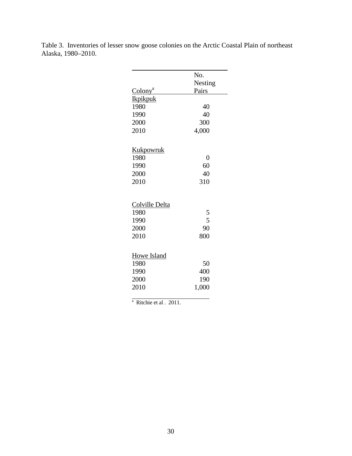|                       | No.     |
|-----------------------|---------|
|                       | Nesting |
| Colony <sup>a</sup>   | Pairs   |
| <b>Ikpikpuk</b>       |         |
| 1980                  | 40      |
| 1990                  | 40      |
| 2000                  | 300     |
| 2010                  | 4,000   |
| <u>Kukpowruk</u>      |         |
| 1980                  | 0       |
| 1990                  | 60      |
| 2000                  | 40      |
| 2010                  | 310     |
| <b>Colville Delta</b> |         |
| 1980                  | 5       |
| 1990                  | 5       |
| 2000                  | 90      |
| 2010                  | 800     |
| Howe Island           |         |
| 1980                  | 50      |
| 1990                  | 400     |
| 2000                  | 190     |
| 2010                  | 1,000   |

<span id="page-35-0"></span>Table 3. Inventories of lesser snow goose colonies on the Arctic Coastal Plain of northeast Alaska, 1980–2010.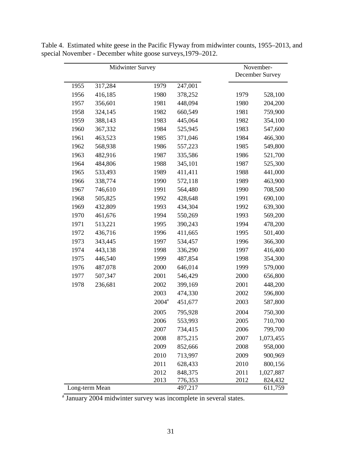|      | Midwinter Survey |          |         |      | November-<br>December Survey |
|------|------------------|----------|---------|------|------------------------------|
| 1955 | 317,284          | 1979     | 247,001 |      |                              |
| 1956 | 416,185          | 1980     | 378,252 | 1979 | 528,100                      |
| 1957 | 356,601          | 1981     | 448,094 | 1980 | 204,200                      |
| 1958 | 324,145          | 1982     | 660,549 | 1981 | 759,900                      |
| 1959 | 388,143          | 1983     | 445,064 | 1982 | 354,100                      |
| 1960 | 367,332          | 1984     | 525,945 | 1983 | 547,600                      |
| 1961 | 463,523          | 1985     | 371,046 | 1984 | 466,300                      |
| 1962 | 568,938          | 1986     | 557,223 | 1985 | 549,800                      |
| 1963 | 482,916          | 1987     | 335,586 | 1986 | 521,700                      |
| 1964 | 484,806          | 1988     | 345,101 | 1987 | 525,300                      |
| 1965 | 533,493          | 1989     | 411,411 | 1988 | 441,000                      |
| 1966 | 338,774          | 1990     | 572,118 | 1989 | 463,900                      |
| 1967 | 746,610          | 1991     | 564,480 | 1990 | 708,500                      |
| 1968 | 505,825          | 1992     | 428,648 | 1991 | 690,100                      |
| 1969 | 432,809          | 1993     | 434,304 | 1992 | 639,300                      |
| 1970 | 461,676          | 1994     | 550,269 | 1993 | 569,200                      |
| 1971 | 513,221          | 1995     | 390,243 | 1994 | 478,200                      |
| 1972 | 436,716          | 1996     | 411,665 | 1995 | 501,400                      |
| 1973 | 343,445          | 1997     | 534,457 | 1996 | 366,300                      |
| 1974 | 443,138          | 1998     | 336,290 | 1997 | 416,400                      |
| 1975 | 446,540          | 1999     | 487,854 | 1998 | 354,300                      |
| 1976 | 487,078          | 2000     | 646,014 | 1999 | 579,000                      |
| 1977 | 507,347          | 2001     | 546,429 | 2000 | 656,800                      |
| 1978 | 236,681          | 2002     | 399,169 | 2001 | 448,200                      |
|      |                  | 2003     | 474,330 | 2002 | 596,800                      |
|      |                  | $2004^a$ | 451,677 | 2003 | 587,800                      |
|      |                  | 2005     | 795,928 | 2004 | 750,300                      |
|      |                  | 2006     | 553,993 | 2005 | 710,700                      |
|      |                  | 2007     | 734,415 | 2006 | 799,700                      |
|      |                  | 2008     | 875,215 | 2007 | 1,073,455                    |
|      |                  | 2009     | 852,666 | 2008 | 958,000                      |
|      |                  | 2010     | 713,997 | 2009 | 900,969                      |
|      |                  | 2011     | 628,433 | 2010 | 800,156                      |
|      |                  | 2012     | 848,375 | 2011 | 1,027,887                    |
|      |                  | 2013     | 776,353 | 2012 | 824,432                      |
|      | Long-term Mean   |          | 497,217 |      | 611,759                      |

<span id="page-36-0"></span>Table 4. Estimated white geese in the Pacific Flyway from midwinter counts, 1955–2013, and special November - December white goose surveys,1979–2012.

<sup>a</sup> January 2004 midwinter survey was incomplete in several states.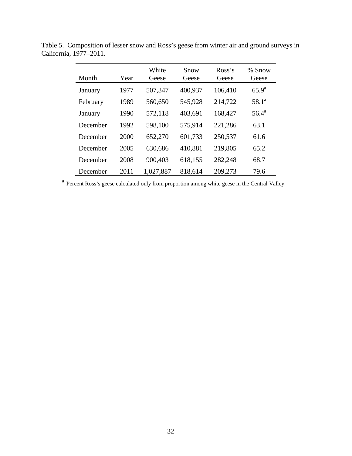| Month    | Year | White<br>Geese | Snow<br>Geese | Ross's<br>Geese | % Snow<br>Geese |
|----------|------|----------------|---------------|-----------------|-----------------|
| January  | 1977 | 507,347        | 400,937       | 106,410         | $65.9^{\rm a}$  |
| February | 1989 | 560,650        | 545,928       | 214,722         | $58.1^a$        |
| January  | 1990 | 572,118        | 403,691       | 168,427         | $56.4^{\rm a}$  |
| December | 1992 | 598,100        | 575,914       | 221,286         | 63.1            |
| December | 2000 | 652,270        | 601,733       | 250,537         | 61.6            |
| December | 2005 | 630,686        | 410,881       | 219,805         | 65.2            |
| December | 2008 | 900,403        | 618,155       | 282,248         | 68.7            |
| December | 2011 | 1,027,887      | 818,614       | 209,273         | 79.6            |

<span id="page-37-0"></span>Table 5. Composition of lesser snow and Ross's geese from winter air and ground surveys in California, 1977–2011.

<sup>a</sup> Percent Ross's geese calculated only from proportion among white geese in the Central Valley.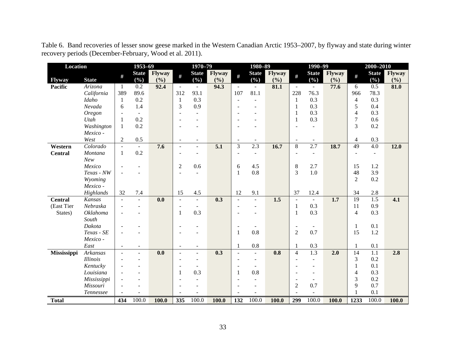<span id="page-38-0"></span>

| Location       |                        |                          | 1953-69                  |               |                          | 1970-79                  |                  |                          | 1980-89                  |               |                          | $1990 - 99$                 |                  |                    | 2000-2010           |               |
|----------------|------------------------|--------------------------|--------------------------|---------------|--------------------------|--------------------------|------------------|--------------------------|--------------------------|---------------|--------------------------|-----------------------------|------------------|--------------------|---------------------|---------------|
| <b>Flyway</b>  | <b>State</b>           | $\#$                     | <b>State</b><br>$(\%)$   | Flyway<br>(%) | #                        | <b>State</b><br>$(\%)$   | Flyway<br>(%)    | $\#$                     | <b>State</b><br>$(\%)$   | Flyway<br>(%) | #                        | <b>State</b><br>$(\%)$      | Flyway<br>(%)    | #                  | <b>State</b><br>(%) | Flyway<br>(%) |
| <b>Pacific</b> | Arizona                | $\mathbf{1}$             | 0.2                      | 92.4          | $\equiv$                 | $\blacksquare$           | 94.3             | $\mathbf{r}$             | $\blacksquare$           | 81.1          | $\omega$                 | $\blacksquare$              | 77.6             | 6                  | 0.5                 | 81.0          |
|                | California             | 389                      | 89.6                     |               | 312                      | 93.1                     |                  | 107                      | 81.1                     |               | 228                      | 76.3                        |                  | 966                | 78.3                |               |
|                | Idaho                  | 1                        | 0.2                      |               | 1                        | 0.3                      |                  | $\blacksquare$           | $\overline{a}$           |               | $\mathbf{1}$             | 0.3                         |                  | $\overline{4}$     | 0.3                 |               |
|                | Nevada                 | 6                        | 1.4                      |               | 3                        | 0.9                      |                  | $\overline{\phantom{a}}$ |                          |               | 1                        | 0.3                         |                  | 5                  | 0.4                 |               |
|                | Oregon                 | $\mathbf{r}$             | $\mathbf{r}$             |               | $\overline{\phantom{a}}$ | $\overline{\phantom{a}}$ |                  | $\sim$                   |                          |               | 1                        | 0.3                         |                  | $\overline{4}$     | 0.3                 |               |
|                | Utah                   | $\mathbf{1}$             | 0.2                      |               | $\overline{\phantom{a}}$ |                          |                  | $\blacksquare$           |                          |               | 1                        | 0.3                         |                  | $\boldsymbol{7}$   | 0.6                 |               |
|                | Washington             | 1                        | 0.2                      |               | $\sim$                   |                          |                  |                          |                          |               | $\overline{\phantom{a}}$ | $\blacksquare$              |                  | 3                  | 0.2                 |               |
|                | Mexico -               |                          |                          |               |                          |                          |                  |                          |                          |               |                          |                             |                  |                    |                     |               |
|                | West                   | $\overline{2}$           | 0.5                      |               | $\overline{\phantom{a}}$ | $\overline{\phantom{a}}$ |                  | $\overline{\phantom{a}}$ |                          |               | $\overline{\phantom{a}}$ | $\overline{\phantom{a}}$    |                  | $\overline{4}$     | 0.3                 |               |
| Western        | Colorado               | $\blacksquare$           |                          | 7.6           | $\blacksquare$           | $\blacksquare$           | $\overline{5.1}$ | $\overline{3}$           | 2.3                      | 16.7          | $\overline{8}$           | 2.7                         | 18.7             | 49                 | $\overline{4.0}$    | 12.0          |
| <b>Central</b> | Montana                | $\mathbf{1}$             | 0.2                      |               | ÷,                       |                          |                  | $\overline{\phantom{a}}$ | $\sim$                   |               | $\overline{\phantom{a}}$ | $\overline{\phantom{a}}$    |                  | $\blacksquare$     | $\blacksquare$      |               |
|                | New                    |                          |                          |               |                          |                          |                  |                          |                          |               |                          |                             |                  |                    |                     |               |
|                | Mexico                 |                          |                          |               | $\boldsymbol{2}$         | 0.6                      |                  | 6                        | 4.5                      |               | $\,8$                    | 2.7                         |                  | 15                 | 1.2                 |               |
|                | Texas - NW             | $\overline{a}$           |                          |               | ÷.                       |                          |                  | $\mathbf{1}$             | 0.8                      |               | 3                        | 1.0                         |                  | 48                 | 3.9                 |               |
|                | Wyoming                |                          |                          |               |                          |                          |                  |                          |                          |               |                          |                             |                  | $\sqrt{2}$         | 0.2                 |               |
|                | Mexico -               |                          |                          |               |                          |                          |                  |                          |                          |               |                          |                             |                  |                    |                     |               |
|                | Highlands              | 32                       | 7.4                      |               | 15                       | 4.5                      |                  | 12                       | 9.1                      |               | 37                       | 12.4                        |                  | 34                 | 2.8                 |               |
| <b>Central</b> | Kansas                 | $\blacksquare$           | $\overline{\phantom{a}}$ | 0.0           | $\equiv$                 | $\blacksquare$           | 0.3              | $\overline{\phantom{a}}$ | $\blacksquare$           | 1.5           | $\blacksquare$           | $\mathcal{L}_{\mathcal{A}}$ | 1.7              | $\overline{19}$    | 1.5                 | 4.1           |
| (East Tier     | Nebraska               | ÷,                       | ÷.                       |               | $\blacksquare$           | $\sim$                   |                  | $\blacksquare$           | $\blacksquare$           |               | 1                        | 0.3                         |                  | 11                 | 0.9                 |               |
| States)        | <b>Oklahoma</b>        | $\overline{a}$           | ۰                        |               | $\mathbf{1}$             | 0.3                      |                  | $\sim$                   |                          |               | $\mathbf{1}$             | 0.3                         |                  | $\overline{4}$     | 0.3                 |               |
|                | South                  |                          |                          |               |                          |                          |                  |                          |                          |               |                          |                             |                  |                    |                     |               |
|                | Dakota                 |                          |                          |               | $\overline{\phantom{a}}$ |                          |                  | $\overline{\phantom{a}}$ |                          |               | $\overline{\phantom{a}}$ |                             |                  | $\mathbf{1}$<br>15 | 0.1                 |               |
|                | Texas - SE<br>Mexico - | $\overline{a}$           |                          |               | $\overline{\phantom{a}}$ |                          |                  | $\mathbf{1}$             | 0.8                      |               | $\overline{2}$           | 0.7                         |                  |                    | 1.2                 |               |
|                | East                   | $\sim$                   | $\overline{a}$           |               | $\blacksquare$           | $\blacksquare$           |                  | $\mathbf{1}$             | 0.8                      |               | $\mathbf{1}$             | 0.3                         |                  | $\mathbf{1}$       | 0.1                 |               |
| Mississippi    | <b>Arkansas</b>        | $\overline{\phantom{a}}$ | $\overline{a}$           | 0.0           | $\sim$                   | $\overline{\phantom{a}}$ | 0.3              | $\overline{\phantom{a}}$ | $\equiv$                 | 0.8           | $\overline{4}$           | $\overline{1.3}$            | $\overline{2.0}$ | 14                 | $\overline{1.1}$    | 2.8           |
|                | <i>Illinois</i>        |                          |                          |               | ÷,                       |                          |                  | $\overline{\phantom{a}}$ | $\blacksquare$           |               | $\overline{\phantom{a}}$ | $\overline{\phantom{a}}$    |                  | 3                  | 0.2                 |               |
|                | Kentucky               |                          |                          |               | $\sim$                   |                          |                  | ÷.                       |                          |               | $\overline{a}$           | ÷                           |                  | $\mathbf{1}$       | 0.1                 |               |
|                | Louisiana              | $\overline{\phantom{a}}$ |                          |               | $\mathbf{1}$             | 0.3                      |                  | 1                        | 0.8                      |               | $\overline{\phantom{0}}$ | $\overline{\phantom{a}}$    |                  | 4                  | 0.3                 |               |
|                | Mississippi            | $\overline{a}$           |                          |               | $\overline{\phantom{a}}$ |                          |                  | $\overline{\phantom{a}}$ |                          |               | $\overline{\phantom{a}}$ |                             |                  | 3                  | 0.2                 |               |
|                | Missouri               | $\overline{\phantom{a}}$ | $\overline{\phantom{a}}$ |               | $\overline{\phantom{a}}$ | $\overline{\phantom{a}}$ |                  | $\blacksquare$           | $\overline{\phantom{a}}$ |               | $\boldsymbol{2}$         | 0.7                         |                  | 9                  | 0.7                 |               |
|                | Tennessee              |                          |                          |               | $\sim$                   |                          |                  |                          |                          |               | $\sim$                   | $\blacksquare$              |                  | $\mathbf{1}$       | 0.1                 |               |
| <b>Total</b>   |                        | 434                      | 100.0                    | 100.0         | 335                      | 100.0                    | 100.0            | 132                      | 100.0                    | 100.0         | 299                      | 100.0                       | 100.0            | 1233               | 100.0               | 100.0         |

Table 6. Band recoveries of lesser snow geese marked in the Western Canadian Arctic 1953–2007, by flyway and state during winter recovery periods (December-February, Wood et al. 2011).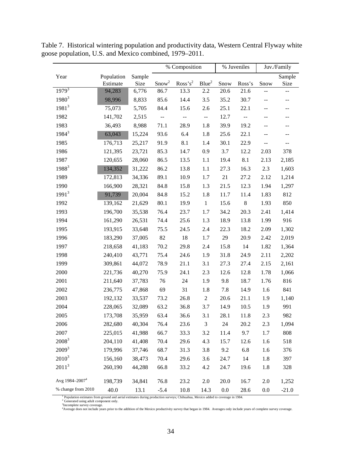|                            |            |        |                         | % Composition       |                           |      | % Juveniles              |       | Juv./Family                                   |
|----------------------------|------------|--------|-------------------------|---------------------|---------------------------|------|--------------------------|-------|-----------------------------------------------|
| Year                       | Population | Sample |                         |                     |                           |      |                          |       | Sample                                        |
|                            | Estimate   | Size   | Snow <sup>2</sup>       | Ross's <sup>2</sup> | Blue <sup>2</sup>         | Snow | Ross's                   | Snow  | Size                                          |
| $1979^{3}$                 | 94,283     | 6,776  | 86.7                    | 13.3                | 2.2                       | 20.6 | 21.6                     | $-$   | --                                            |
| $1980^3$                   | 98,996     | 8,833  | 85.6                    | 14.4                | 3.5                       | 35.2 | 30.7                     | $- -$ | $- -$                                         |
| $1981^3$                   | 75,073     | 5,705  | 84.4                    | 15.6                | 2.6                       | 25.1 | 22.1                     | --    | --                                            |
| 1982                       | 141,702    | 2,515  | $\mathbb{L} \mathbb{L}$ | 44                  | $\mathbb{Z}^{\mathbb{Z}}$ | 12.7 | $\overline{\phantom{a}}$ | --    | $\overline{\phantom{m}}$                      |
| 1983                       | 36,493     | 8,988  | 71.1                    | 28.9                | 1.8                       | 39.9 | 19.2                     | --    | $\mathord{\hspace{1pt}\text{--}\hspace{1pt}}$ |
| $1984^3$                   | 63,043     | 15,224 | 93.6                    | 6.4                 | 1.8                       | 25.6 | 22.1                     | $- -$ | $\overline{\phantom{a}}$                      |
| 1985                       | 176,713    | 25,217 | 91.9                    | 8.1                 | 1.4                       | 30.1 | 22.9                     | $-$   | $\overline{\phantom{a}}$                      |
| 1986                       | 121,395    | 23,721 | 85.3                    | 14.7                | 0.9                       | 3.7  | 12.2                     | 2.03  | 378                                           |
| 1987                       | 120,655    | 28,060 | 86.5                    | 13.5                | 1.1                       | 19.4 | 8.1                      | 2.13  | 2,185                                         |
| 1988 <sup>3</sup>          | 134,352    | 31,222 | 86.2                    | 13.8                | 1.1                       | 27.3 | 16.3                     | 2.3   | 1,603                                         |
| 1989                       | 172,813    | 34,336 | 89.1                    | 10.9                | 1.7                       | 21   | 27.2                     | 2.12  | 1,214                                         |
| 1990                       | 166,900    | 28,321 | 84.8                    | 15.8                | 1.3                       | 21.5 | 12.3                     | 1.94  | 1,297                                         |
| $1991^3$                   | 91,739     | 20,004 | 84.8                    | 15.2                | 1.8                       | 11.7 | 11.4                     | 1.83  | 812                                           |
| 1992                       | 139,162    | 21,629 | 80.1                    | 19.9                | $\mathbf{1}$              | 15.6 | $\,8\,$                  | 1.93  | 850                                           |
| 1993                       | 196,700    | 35,538 | 76.4                    | 23.7                | 1.7                       | 34.2 | 20.3                     | 2.41  | 1,414                                         |
| 1994                       | 161,290    | 26,531 | 74.4                    | 25.6                | 1.3                       | 18.9 | 13.8                     | 1.99  | 916                                           |
| 1995                       | 193,915    | 33,648 | 75.5                    | 24.5                | 2.4                       | 22.3 | 18.2                     | 2.09  | 1,302                                         |
| 1996                       | 183,290    | 37,005 | 82                      | 18                  | 1.7                       | 29   | 20.9                     | 2.42  | 2,019                                         |
| 1997                       | 218,658    | 41,183 | 70.2                    | 29.8                | 2.4                       | 15.8 | 14                       | 1.82  | 1,364                                         |
| 1998                       | 240,410    | 43,771 | 75.4                    | 24.6                | 1.9                       | 31.8 | 24.9                     | 2.11  | 2,202                                         |
| 1999                       | 309,861    | 44,072 | 78.9                    | 21.1                | 3.1                       | 27.3 | 27.4                     | 2.15  | 2,161                                         |
| 2000                       | 221,736    | 40,270 | 75.9                    | 24.1                | 2.3                       | 12.6 | 12.8                     | 1.78  | 1,066                                         |
| 2001                       | 211,640    | 37,783 | 76                      | 24                  | 1.9                       | 9.8  | 18.7                     | 1.76  | 816                                           |
| 2002                       | 236,775    | 47,868 | 69                      | 31                  | 1.8                       | 7.8  | 14.9                     | 1.6   | 841                                           |
| 2003                       | 192,132    | 33,537 | 73.2                    | 26.8                | $\boldsymbol{2}$          | 20.6 | 21.1                     | 1.9   | 1,140                                         |
| 2004                       | 228,065    | 32,089 | 63.2                    | 36.8                | 3.7                       | 14.9 | 10.5                     | 1.9   | 991                                           |
| 2005                       | 173,708    | 35,959 | 63.4                    | 36.6                | 3.1                       | 28.1 | 11.8                     | 2.3   | 982                                           |
| 2006                       | 282,680    | 40,304 | 76.4                    | 23.6                | $\mathfrak{Z}$            | 24   | 20.2                     | 2.3   | 1,094                                         |
| 2007                       | 225,015    | 41,988 | 66.7                    | 33.3                | 3.2                       | 11.4 | 9.7                      | 1.7   | 808                                           |
| $2008^3$                   | 204,110    | 41,408 | 70.4                    | 29.6                | 4.3                       | 15.7 | 12.6                     | 1.6   | 518                                           |
| $2009^3$                   | 179,996    | 37,746 | 68.7                    | 31.3                | 3.8                       | 9.2  | 6.8                      | 1.6   | 376                                           |
| $2010^3$                   | 156,160    | 38,473 | 70.4                    | 29.6                | 3.6                       | 24.7 | 14                       | 1.8   | 397                                           |
| $2011^3$                   | 260,190    | 44,288 | 66.8                    | 33.2                | 4.2                       | 24.7 | 19.6                     | 1.8   | 328                                           |
| Avg 1984-2007 <sup>4</sup> | 198,739    | 34,841 | 76.8                    | 23.2                | 2.0                       | 20.0 | 16.7                     | 2.0   | 1,252                                         |
| % change from 2010         | 40.0       | 13.1   | $-5.4$                  | 10.8                | 14.3                      | 0.0  | 28.6                     | 0.0   | $-21.0$                                       |

<span id="page-39-0"></span>Table 7. Historical wintering population and productivity data, Western Central Flyway white goose population, U.S. and Mexico combined, 1979–2011.

<sup>1</sup> Population estimates from ground and aerial estimates during production surveys; Chihuahua, Mexico added to coverage in 1984.<br><sup>2</sup> Generated using adult component only.<br><sup>2</sup> Incomplete survey coverage.<br><sup>4</sup>Average does no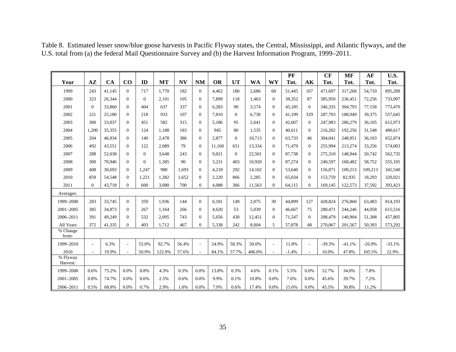<span id="page-40-0"></span>

|                                    |                |           |                |          |           |           |                |           |           |           |                          | PF      |                          | CF       | <b>MF</b> | AF       | U.S.     |
|------------------------------------|----------------|-----------|----------------|----------|-----------|-----------|----------------|-----------|-----------|-----------|--------------------------|---------|--------------------------|----------|-----------|----------|----------|
| Year                               | $A\mathbf{Z}$  | <b>CA</b> | CO             | ID       | <b>MT</b> | <b>NV</b> | <b>NM</b>      | <b>OR</b> | <b>UT</b> | <b>WA</b> | WY                       | Tot.    | AK                       | Tot.     | Tot.      | Tot.     | Tot.     |
| 1999                               | 243            | 41,145    | $\Omega$       | 717      | 1,770     | 182       | $\mathbf{0}$   | 4,462     | 180       | 2,686     | 60                       | 51,445  | 167                      | 471,697  | 317,268   | 54,710   | 895,289  |
| 2000                               | 323            | 26.344    | $\Omega$       | $\Omega$ | 2.101     | 105       | $\theta$       | 7.899     | 118       | 1.463     | $\Omega$                 | 38.352  | 87                       | 385,950  | 236,451   | 72,256   | 733,097  |
| 2001                               | $\overline{0}$ | 33,860    | $\overline{0}$ | 404      | 637       | 337       | $\Omega$       | 6,283     | 90        | 3,574     | $\Omega$                 | 45,185  | $\Omega$                 | 346,335  | 304,793   | 77,158   | 773,470  |
| 2002                               | 221            | 25,180    | $\Omega$       | 218      | 933       | 107       | $\Omega$       | 7,810     | $\Omega$  | 6.730     | $\Omega$                 | 41.199  | 329                      | 287,793  | 188,949   | 39,375   | 557,645  |
| 2003                               | 300            | 33.037    | $\overline{0}$ | 451      | 582       | 315       | $\overline{0}$ | 5.186     | 95        | 2.641     | $\overline{0}$           | 42,607  | $\overline{0}$           | 247,983  | 286,279   | 36.105   | 612,973  |
| 2004                               | 1,200          | 35,355    | $\Omega$       | 124      | 1,188     | 183       | $\Omega$       | 945       | 80        | 1,535     | $\Omega$                 | 40,611  | $\theta$                 | 216,202  | 192,256   | 31,548   | 480,617  |
| 2005                               | 204            | 46,934    | $\Omega$       | 140      | 2,478     | 386       | $\Omega$       | 2,877     | $\Omega$  | 10,713    | $\Omega$                 | 63,733  | 46                       | 304,041  | 248,951   | 36,103   | 652,874  |
| 2006                               | 492            | 43,551    | $\Omega$       | 122      | 2,089     | 79        | $\overline{0}$ | 11,160    | 651       | 13,334    | $\overline{0}$           | 71,479  | $\overline{0}$           | 255,994  | 213,274   | 33,256   | 574,003  |
| 2007                               | 288            | 52,038    | $\Omega$       | $\Omega$ | 3.648     | 243       | $\Omega$       | 9.021     | $\Omega$  | 22.501    | $\Omega$                 | 87,738  | $\Omega$                 | 275,310  | 148,944   | 50,742   | 562,735  |
| 2008                               | 300            | 70,946    | $\Omega$       | $\Omega$ | 1,385     | 90        | $\Omega$       | 3,231     | 403       | 10.920    | $\Omega$                 | 87,274  | $\Omega$                 | 240,597  | 168,482   | 58,752   | 555,105  |
| 2009                               | 408            | 30,693    | $\Omega$       | 1.247    | 988       | 1.693     | $\Omega$       | 4,218     | 292       | 14,102    | $\Omega$                 | 53,640  | $\theta$                 | 156,071  | 109,213   | 109,213  | 341,540  |
| 2010                               | 859            | 54,548    | $\mathbf{0}$   | 1,221    | 1,382     | 1.652     | $\mathbf{0}$   | 2,220     | 866       | 2,285     | $\overline{0}$           | 65.034  | $\theta$                 | 153,759  | 82,935    | 18,293   | 320,021  |
| 2011                               | $\Omega$       | 43,718    | $\Omega$       | 600      | 3,080     | 700       | $\Omega$       | 4,088     | 366       | 11,563    | $\overline{0}$           | 64,115  | $\Omega$                 | 169,145  | 122,573   | 37,592   | 393,423  |
| Averages:                          |                |           |                |          |           |           |                |           |           |           |                          |         |                          |          |           |          |          |
| 1999-2000                          | 283            | 33,745    | $\Omega$       | 359      | 1.936     | 144       | $\Omega$       | 6.181     | 149       | 2.075     | 30                       | 44.899  | 127                      | 428,824  | 276,860   | 63,483   | 814,193  |
| $2001 - 2005$                      | 385            | 34,873    | $\mathbf{0}$   | 267      | 1.164     | 266       | $\Omega$       | 4.620     | 53        | 5.039     | $\Omega$                 | 46.667  | 75                       | 280,471  | 244,246   | 44,058   | 615,516  |
| 2006-2011                          | 391            | 49,249    | $\mathbf{0}$   | 532      | 2.095     | 743       | $\overline{0}$ | 5,656     | 430       | 12.451    | $\theta$                 | 71,547  | $\theta$                 | 208,479  | 140,904   | 51,308   | 457,805  |
| All Years                          | 372            | 41,335    | $\Omega$       | 403      | 1,712     | 467       | $\Omega$       | 5,338     | 242       | 8.004     | 5                        | 57,878  | 48                       | 270,067  | 201,567   | 50,393   | 573,292  |
| % Change<br>from:                  |                |           |                |          |           |           |                |           |           |           |                          |         |                          |          |           |          |          |
| 1999-2010                          | $\sim$         | 6.3%      | ٠              | 55.0%    | 92.7%     | 56.4%     |                | 24.9%     | 58.3%     | 50.0%     | $\overline{\phantom{a}}$ | 11.8%   | $\overline{\phantom{a}}$ | $-39.3%$ | $-41.1%$  | $-26.9%$ | $-33.1%$ |
| 2010                               | $\sim$         | 19.9%     | $\overline{a}$ | 50.9%    | 122.9%    | 57.6%     |                | 84.1%     | 57.7%     | 406.0%    | $\sim$                   | $-1.4%$ | $\overline{a}$           | 10.0%    | 47.8%     | 105.5%   | 22.9%    |
| $\overline{\%}$ Flyway<br>Harvest: |                |           |                |          |           |           |                |           |           |           |                          |         |                          |          |           |          |          |
| 1999-2000                          | 0.6%           | 75.2%     | 0.0%           | 0.8%     | 4.3%      | 0.3%      | 0.0%           | 13.8%     | 0.3%      | 4.6%      | 0.1%                     | 5.5%    | 0.0%                     | 52.7%    | 34.0%     | 7.8%     |          |
| $2001 - 2005$                      | 0.8%           | 74.7%     | 0.0%           | 0.6%     | 2.5%      | 0.6%      | 0.0%           | 9.9%      | 0.1%      | 10.8%     | 0.0%                     | 7.6%    | 0.0%                     | 45.6%    | 39.7%     | 7.2%     |          |
| 2006-2011                          | 0.5%           | 68.8%     | 0.0%           | 0.7%     | 2.9%      | 1.0%      | 0.0%           | 7.9%      | 0.6%      | 17.4%     | 0.0%                     | 15.6%   | 0.0%                     | 45.5%    | 30.8%     | 11.2%    |          |

Table 8. Estimated lesser snow/blue goose harvests in Pacific Flyway states, the Central, Mississippi, and Atlantic flyways, and the U.S. total from (a) the federal Mail Questionnaire Survey and (b) the Harvest Information Program, 1999–2011.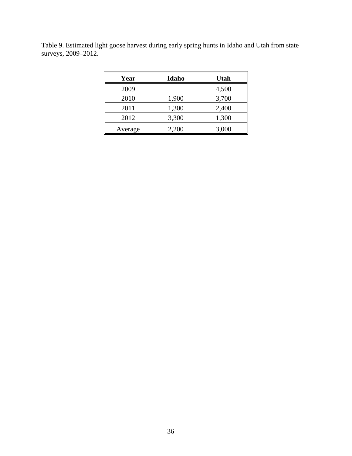<span id="page-41-0"></span>Table 9. Estimated light goose harvest during early spring hunts in Idaho and Utah from state surveys, 2009–2012.

| Year    | Idaho | <b>Utah</b> |
|---------|-------|-------------|
| 2009    |       | 4,500       |
| 2010    | 1,900 | 3,700       |
| 2011    | 1,300 | 2,400       |
| 2012    | 3,300 | 1,300       |
| Average | 2,200 | 3,000       |